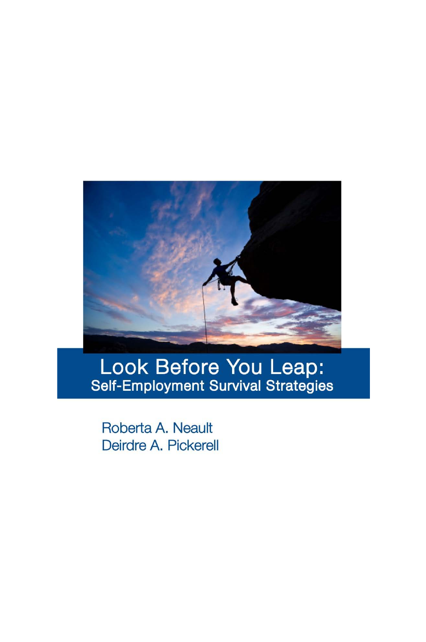

# Look Before You Leap:<br>Self-Employment Survival Strategies

Roberta A. Neault Deirdre A. Pickerell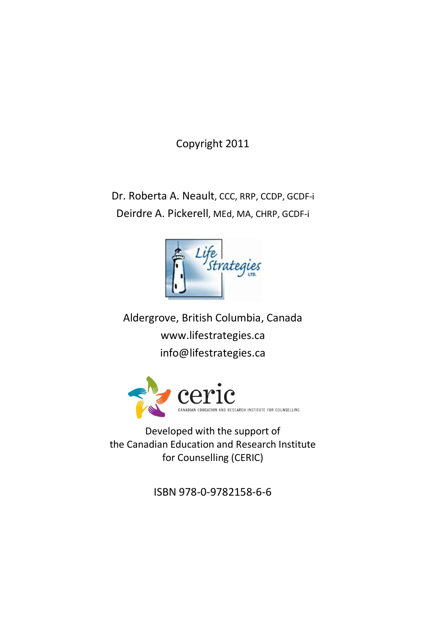Copyright 2011

Dr. Roberta A. Neault, CCC, RRP, CCDP, GCDF-i Deirdre A. Pickerell, MEd, MA, CHRP, GCDF-i



Aldergrove, British Columbia, Canada www.lifestrategies.ca info@lifestrategies.ca



Developed with the support of the Canadian Education and Research Institute for Counselling (CERIC)

ISBN 978-0-9782158-6-6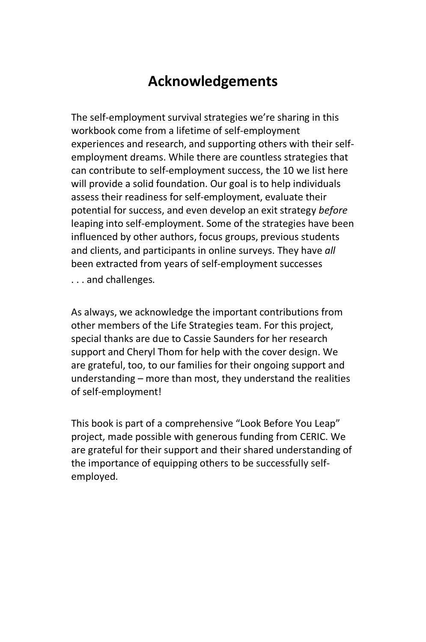## **Acknowledgements**

The self-employment survival strategies we're sharing in this workbook come from a lifetime of self-employment experiences and research, and supporting others with their selfemployment dreams. While there are countless strategies that can contribute to self-employment success, the 10 we list here will provide a solid foundation. Our goal is to help individuals assess their readiness for self-employment, evaluate their potential for success, and even develop an exit strategy *before* leaping into self-employment. Some of the strategies have been influenced by other authors, focus groups, previous students and clients, and participants in online surveys. They have *all* been extracted from years of self-employment successes

. . . and challenges.

As always, we acknowledge the important contributions from other members of the Life Strategies team. For this project, special thanks are due to Cassie Saunders for her research support and Cheryl Thom for help with the cover design. We are grateful, too, to our families for their ongoing support and understanding – more than most, they understand the realities of self-employment!

This book is part of a comprehensive "Look Before You Leap" project, made possible with generous funding from CERIC. We are grateful for their support and their shared understanding of the importance of equipping others to be successfully selfemployed.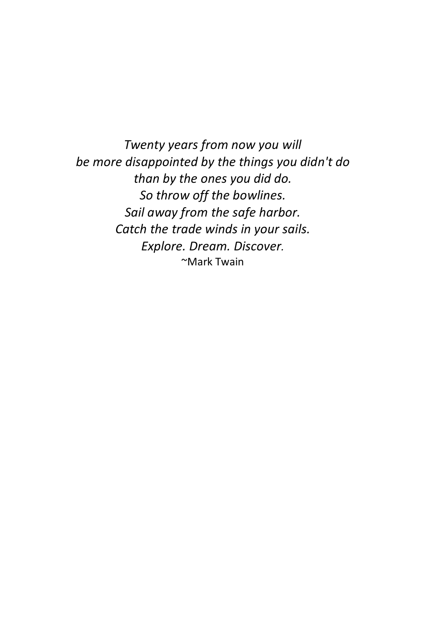*Twenty years from now you will be more disappointed by the things you didn't do than by the ones you did do. So throw off the bowlines. Sail away from the safe harbor. Catch the trade winds in your sails. Explore. Dream. Discover.* ~Mark Twain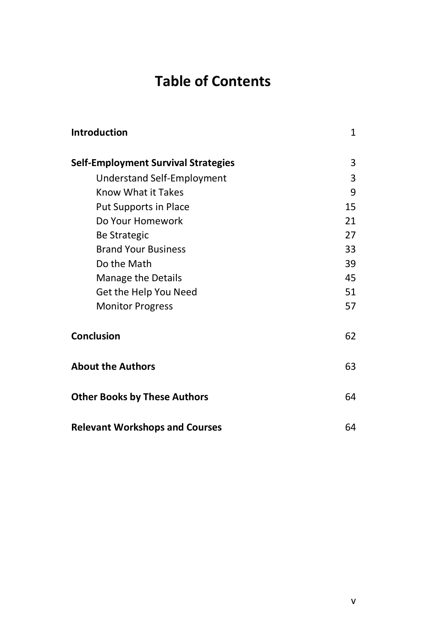# **Table of Contents**

| <b>Introduction</b>                        | 1  |
|--------------------------------------------|----|
| <b>Self-Employment Survival Strategies</b> | 3  |
| <b>Understand Self-Employment</b>          | 3  |
| Know What it Takes                         | 9  |
| Put Supports in Place                      | 15 |
| Do Your Homework                           | 21 |
| <b>Be Strategic</b>                        | 27 |
| <b>Brand Your Business</b>                 | 33 |
| Do the Math                                | 39 |
| <b>Manage the Details</b>                  | 45 |
| Get the Help You Need                      | 51 |
| <b>Monitor Progress</b>                    | 57 |
| <b>Conclusion</b>                          | 62 |
| <b>About the Authors</b>                   | 63 |
| <b>Other Books by These Authors</b>        | 64 |
| <b>Relevant Workshops and Courses</b>      | 64 |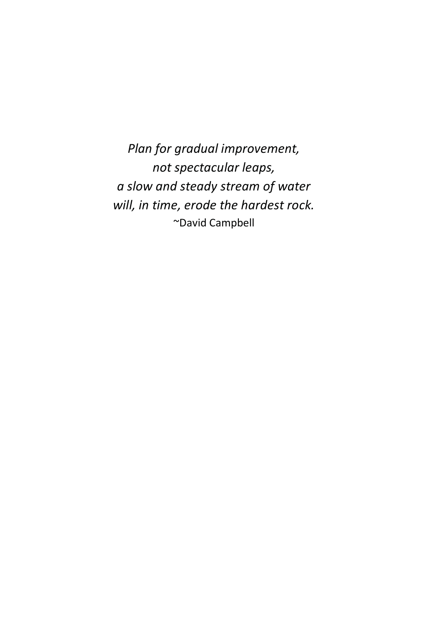*Plan for gradual improvement, not spectacular leaps, a slow and steady stream of water will, in time, erode the hardest rock.*  ~David Campbell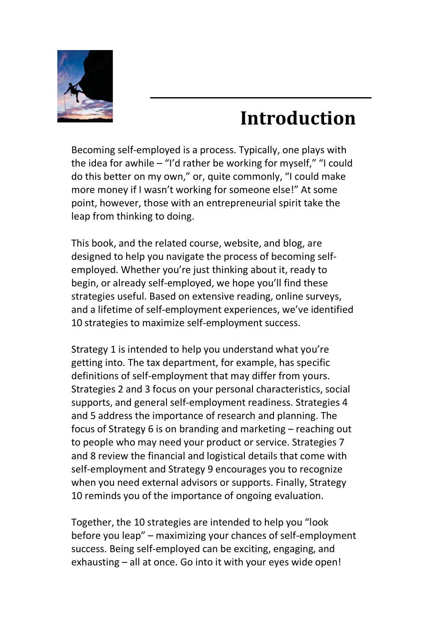

# **Introduction**

Becoming self-employed is a process. Typically, one plays with the idea for awhile – "I'd rather be working for myself," "I could do this better on my own," or, quite commonly, "I could make more money if I wasn't working for someone else!" At some point, however, those with an entrepreneurial spirit take the leap from thinking to doing.

This book, and the related course, website, and blog, are designed to help you navigate the process of becoming selfemployed. Whether you're just thinking about it, ready to begin, or already self-employed, we hope you'll find these strategies useful. Based on extensive reading, online surveys, and a lifetime of self-employment experiences, we've identified 10 strategies to maximize self-employment success.

Strategy 1 is intended to help you understand what you're getting into. The tax department, for example, has specific definitions of self-employment that may differ from yours. Strategies 2 and 3 focus on your personal characteristics, social supports, and general self-employment readiness. Strategies 4 and 5 address the importance of research and planning. The focus of Strategy 6 is on branding and marketing – reaching out to people who may need your product or service. Strategies 7 and 8 review the financial and logistical details that come with self-employment and Strategy 9 encourages you to recognize when you need external advisors or supports. Finally, Strategy 10 reminds you of the importance of ongoing evaluation.

Together, the 10 strategies are intended to help you "look before you leap" – maximizing your chances of self-employment success. Being self-employed can be exciting, engaging, and exhausting – all at once. Go into it with your eyes wide open!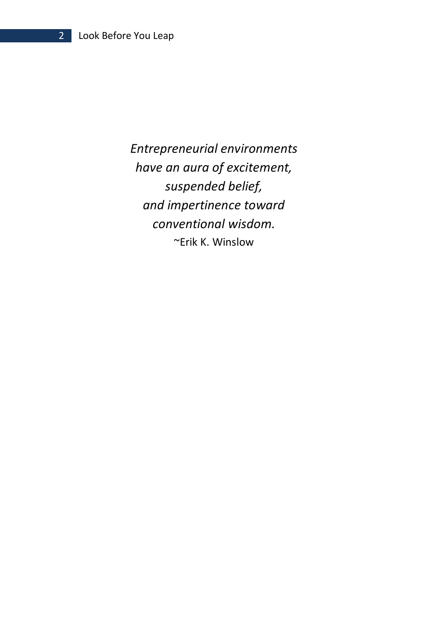*Entrepreneurial environments have an aura of excitement, suspended belief, and impertinence toward conventional wisdom.*  ~Erik K. Winslow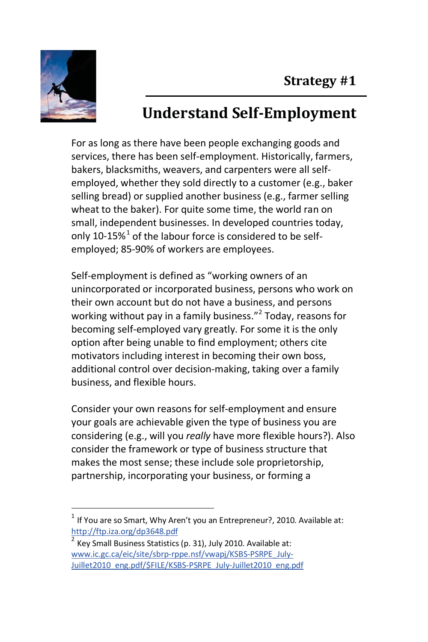

1

# **Understand Self-Employment**

For as long as there have been people exchanging goods and services, there has been self-employment. Historically, farmers, bakers, blacksmiths, weavers, and carpenters were all selfemployed, whether they sold directly to a customer (e.g., baker selling bread) or supplied another business (e.g., farmer selling wheat to the baker). For quite some time, the world ran on small, independent businesses. In developed countries today, only 10-15% $^1$  of the labour force is considered to be selfemployed; 85-90% of workers are employees.

Self-employment is defined as "working owners of an unincorporated or incorporated business, persons who work on their own account but do not have a business, and persons working without pay in a family business."<sup>2</sup> Today, reasons for becoming self-employed vary greatly. For some it is the only option after being unable to find employment; others cite motivators including interest in becoming their own boss, additional control over decision-making, taking over a family business, and flexible hours.

Consider your own reasons for self-employment and ensure your goals are achievable given the type of business you are considering (e.g., will you *really* have more flexible hours?). Also consider the framework or type of business structure that makes the most sense; these include sole proprietorship, partnership, incorporating your business, or forming a

 $<sup>1</sup>$  If You are so Smart, Why Aren't you an Entrepreneur?, 2010. Available at:</sup> http://ftp.iza.org/dp3648.pdf<br><sup>2</sup> Key Small Business Statistics (p. 31), July 2010. Available at:

www.ic.gc.ca/eic/site/sbrp-rppe.nsf/vwapj/KSBS-PSRPE\_July-Juillet2010\_eng.pdf/\$FILE/KSBS-PSRPE\_July-Juillet2010\_eng.pdf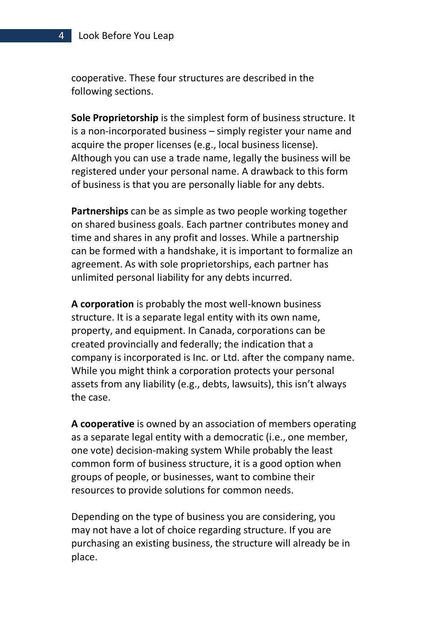cooperative. These four structures are described in the following sections.

**Sole Proprietorship** is the simplest form of business structure. It is a non-incorporated business – simply register your name and acquire the proper licenses (e.g., local business license). Although you can use a trade name, legally the business will be registered under your personal name. A drawback to this form of business is that you are personally liable for any debts.

**Partnerships** can be as simple as two people working together on shared business goals. Each partner contributes money and time and shares in any profit and losses. While a partnership can be formed with a handshake, it is important to formalize an agreement. As with sole proprietorships, each partner has unlimited personal liability for any debts incurred.

**A corporation** is probably the most well-known business structure. It is a separate legal entity with its own name, property, and equipment. In Canada, corporations can be created provincially and federally; the indication that a company is incorporated is Inc. or Ltd. after the company name. While you might think a corporation protects your personal assets from any liability (e.g., debts, lawsuits), this isn't always the case.

**A cooperative** is owned by an association of members operating as a separate legal entity with a democratic (i.e., one member, one vote) decision-making system While probably the least common form of business structure, it is a good option when groups of people, or businesses, want to combine their resources to provide solutions for common needs.

Depending on the type of business you are considering, you may not have a lot of choice regarding structure. If you are purchasing an existing business, the structure will already be in place.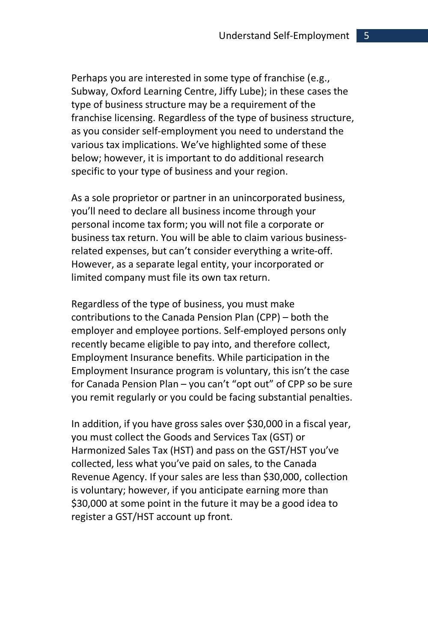Perhaps you are interested in some type of franchise (e.g., Subway, Oxford Learning Centre, Jiffy Lube); in these cases the type of business structure may be a requirement of the franchise licensing. Regardless of the type of business structure, as you consider self-employment you need to understand the various tax implications. We've highlighted some of these below; however, it is important to do additional research specific to your type of business and your region.

As a sole proprietor or partner in an unincorporated business, you'll need to declare all business income through your personal income tax form; you will not file a corporate or business tax return. You will be able to claim various businessrelated expenses, but can't consider everything a write-off. However, as a separate legal entity, your incorporated or limited company must file its own tax return.

Regardless of the type of business, you must make contributions to the Canada Pension Plan (CPP) – both the employer and employee portions. Self-employed persons only recently became eligible to pay into, and therefore collect, Employment Insurance benefits. While participation in the Employment Insurance program is voluntary, this isn't the case for Canada Pension Plan – you can't "opt out" of CPP so be sure you remit regularly or you could be facing substantial penalties.

In addition, if you have gross sales over \$30,000 in a fiscal year, you must collect the Goods and Services Tax (GST) or Harmonized Sales Tax (HST) and pass on the GST/HST you've collected, less what you've paid on sales, to the Canada Revenue Agency. If your sales are less than \$30,000, collection is voluntary; however, if you anticipate earning more than \$30,000 at some point in the future it may be a good idea to register a GST/HST account up front.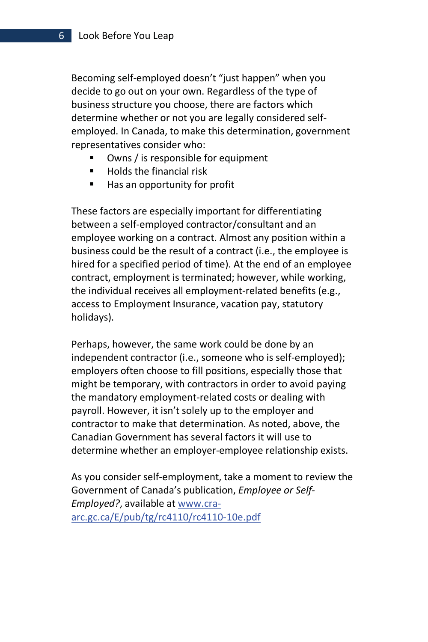Becoming self-employed doesn't "just happen" when you decide to go out on your own. Regardless of the type of business structure you choose, there are factors which determine whether or not you are legally considered selfemployed. In Canada, to make this determination, government representatives consider who:

- Owns / is responsible for equipment
- $\blacksquare$  Holds the financial risk
- **Has an opportunity for profit**

These factors are especially important for differentiating between a self-employed contractor/consultant and an employee working on a contract. Almost any position within a business could be the result of a contract (i.e., the employee is hired for a specified period of time). At the end of an employee contract, employment is terminated; however, while working, the individual receives all employment-related benefits (e.g., access to Employment Insurance, vacation pay, statutory holidays).

Perhaps, however, the same work could be done by an independent contractor (i.e., someone who is self-employed); employers often choose to fill positions, especially those that might be temporary, with contractors in order to avoid paying the mandatory employment-related costs or dealing with payroll. However, it isn't solely up to the employer and contractor to make that determination. As noted, above, the Canadian Government has several factors it will use to determine whether an employer-employee relationship exists.

As you consider self-employment, take a moment to review the Government of Canada's publication, *Employee or Self-Employed?*, available at www.craarc.gc.ca/E/pub/tg/rc4110/rc4110-10e.pdf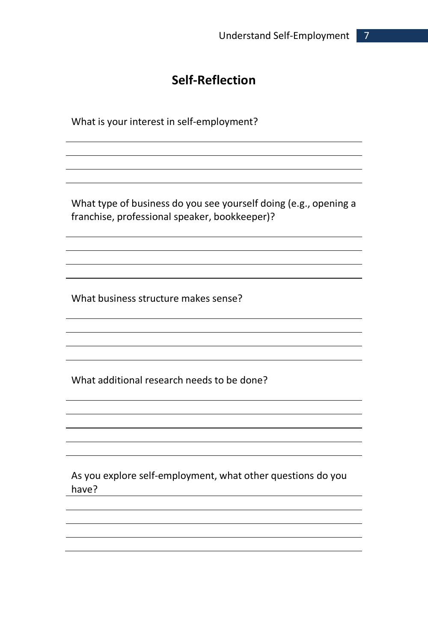### **Self-Reflection**

What is your interest in self-employment?

What type of business do you see yourself doing (e.g., opening a franchise, professional speaker, bookkeeper)?

What business structure makes sense?

What additional research needs to be done?

As you explore self-employment, what other questions do you have?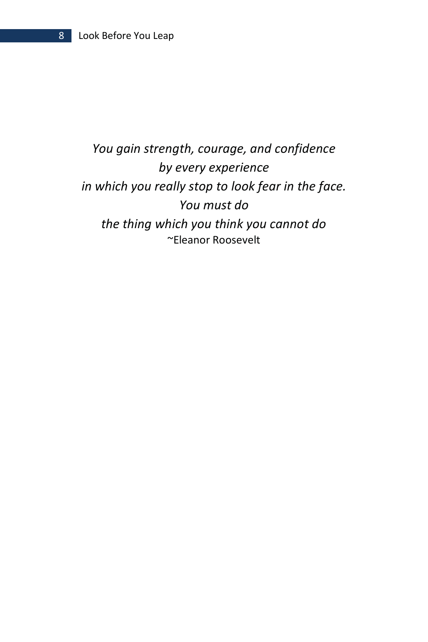*You gain strength, courage, and confidence by every experience in which you really stop to look fear in the face. You must do the thing which you think you cannot do*  ~Eleanor Roosevelt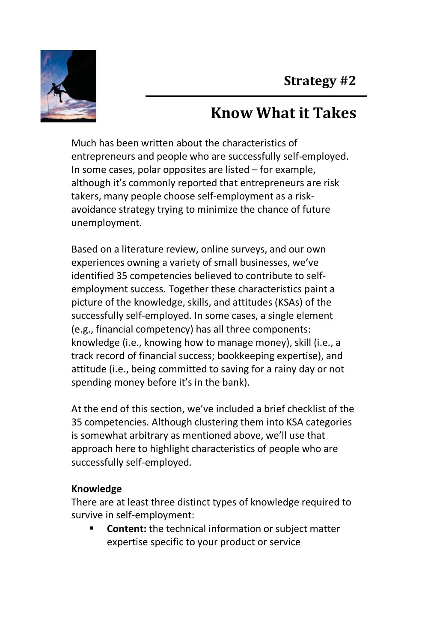

# **Know What it Takes**

Much has been written about the characteristics of entrepreneurs and people who are successfully self-employed. In some cases, polar opposites are listed – for example, although it's commonly reported that entrepreneurs are risk takers, many people choose self-employment as a riskavoidance strategy trying to minimize the chance of future unemployment.

Based on a literature review, online surveys, and our own experiences owning a variety of small businesses, we've identified 35 competencies believed to contribute to selfemployment success. Together these characteristics paint a picture of the knowledge, skills, and attitudes (KSAs) of the successfully self-employed. In some cases, a single element (e.g., financial competency) has all three components: knowledge (i.e., knowing how to manage money), skill (i.e., a track record of financial success; bookkeeping expertise), and attitude (i.e., being committed to saving for a rainy day or not spending money before it's in the bank).

At the end of this section, we've included a brief checklist of the 35 competencies. Although clustering them into KSA categories is somewhat arbitrary as mentioned above, we'll use that approach here to highlight characteristics of people who are successfully self-employed.

#### **Knowledge**

There are at least three distinct types of knowledge required to survive in self-employment:

 **Content:** the technical information or subject matter expertise specific to your product or service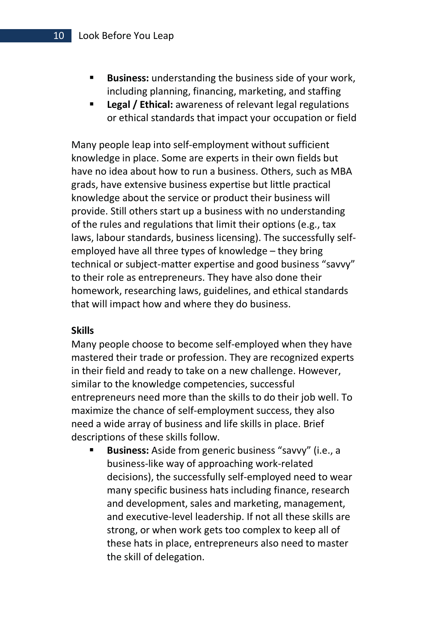- **Business:** understanding the business side of your work, including planning, financing, marketing, and staffing
- **Legal / Ethical:** awareness of relevant legal regulations or ethical standards that impact your occupation or field

Many people leap into self-employment without sufficient knowledge in place. Some are experts in their own fields but have no idea about how to run a business. Others, such as MBA grads, have extensive business expertise but little practical knowledge about the service or product their business will provide. Still others start up a business with no understanding of the rules and regulations that limit their options (e.g., tax laws, labour standards, business licensing). The successfully selfemployed have all three types of knowledge – they bring technical or subject-matter expertise and good business "savvy" to their role as entrepreneurs. They have also done their homework, researching laws, guidelines, and ethical standards that will impact how and where they do business.

#### **Skills**

Many people choose to become self-employed when they have mastered their trade or profession. They are recognized experts in their field and ready to take on a new challenge. However, similar to the knowledge competencies, successful entrepreneurs need more than the skills to do their job well. To maximize the chance of self-employment success, they also need a wide array of business and life skills in place. Brief descriptions of these skills follow.

**Business:** Aside from generic business "savvy" (i.e., a business-like way of approaching work-related decisions), the successfully self-employed need to wear many specific business hats including finance, research and development, sales and marketing, management, and executive-level leadership. If not all these skills are strong, or when work gets too complex to keep all of these hats in place, entrepreneurs also need to master the skill of delegation.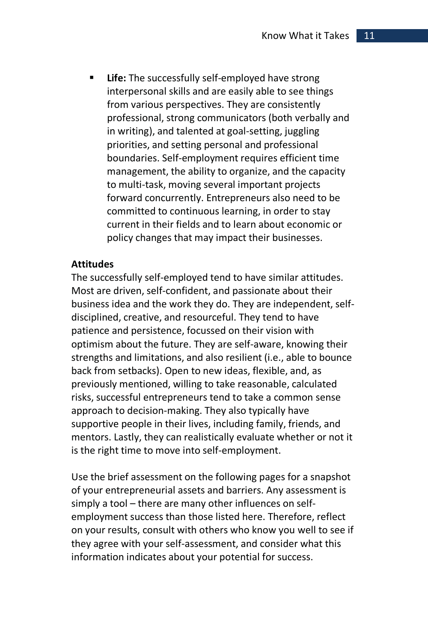**Life:** The successfully self-employed have strong interpersonal skills and are easily able to see things from various perspectives. They are consistently professional, strong communicators (both verbally and in writing), and talented at goal-setting, juggling priorities, and setting personal and professional boundaries. Self-employment requires efficient time management, the ability to organize, and the capacity to multi-task, moving several important projects forward concurrently. Entrepreneurs also need to be committed to continuous learning, in order to stay current in their fields and to learn about economic or policy changes that may impact their businesses.

#### **Attitudes**

The successfully self-employed tend to have similar attitudes. Most are driven, self-confident, and passionate about their business idea and the work they do. They are independent, selfdisciplined, creative, and resourceful. They tend to have patience and persistence, focussed on their vision with optimism about the future. They are self-aware, knowing their strengths and limitations, and also resilient (i.e., able to bounce back from setbacks). Open to new ideas, flexible, and, as previously mentioned, willing to take reasonable, calculated risks, successful entrepreneurs tend to take a common sense approach to decision-making. They also typically have supportive people in their lives, including family, friends, and mentors. Lastly, they can realistically evaluate whether or not it is the right time to move into self-employment.

Use the brief assessment on the following pages for a snapshot of your entrepreneurial assets and barriers. Any assessment is simply a tool – there are many other influences on selfemployment success than those listed here. Therefore, reflect on your results, consult with others who know you well to see if they agree with your self-assessment, and consider what this information indicates about your potential for success.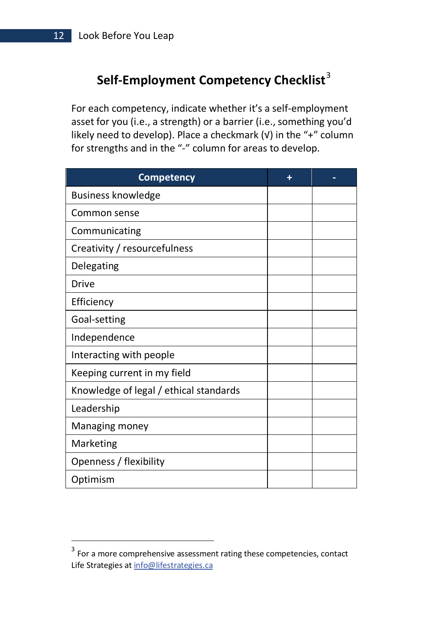### **Self-Employment Competency Checklist**<sup>3</sup>

For each competency, indicate whether it's a self-employment asset for you (i.e., a strength) or a barrier (i.e., something you'd likely need to develop). Place a checkmark (ν) in the "+" column for strengths and in the "-" column for areas to develop.

| <b>Competency</b>                      | ٠ |  |
|----------------------------------------|---|--|
| <b>Business knowledge</b>              |   |  |
| Common sense                           |   |  |
| Communicating                          |   |  |
| Creativity / resourcefulness           |   |  |
| Delegating                             |   |  |
| Drive                                  |   |  |
| Efficiency                             |   |  |
| Goal-setting                           |   |  |
| Independence                           |   |  |
| Interacting with people                |   |  |
| Keeping current in my field            |   |  |
| Knowledge of legal / ethical standards |   |  |
| Leadership                             |   |  |
| Managing money                         |   |  |
| Marketing                              |   |  |
| Openness / flexibility                 |   |  |
| Optimism                               |   |  |

 $\overline{a}$ 

<sup>&</sup>lt;sup>3</sup> For a more comprehensive assessment rating these competencies, contact Life Strategies at info@lifestrategies.ca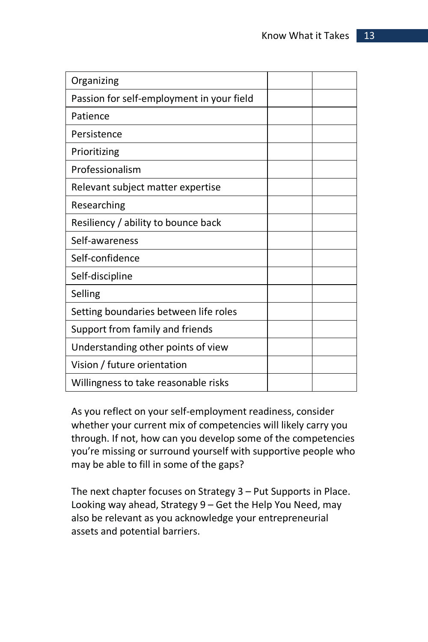| Organizing                                |
|-------------------------------------------|
| Passion for self-employment in your field |
| Patience                                  |
| Persistence                               |
| Prioritizing                              |
| Professionalism                           |
| Relevant subject matter expertise         |
| Researching                               |
| Resiliency / ability to bounce back       |
| Self-awareness                            |
| Self-confidence                           |
| Self-discipline                           |
| Selling                                   |
| Setting boundaries between life roles     |
| Support from family and friends           |
| Understanding other points of view        |
| Vision / future orientation               |
| Willingness to take reasonable risks      |

As you reflect on your self-employment readiness, consider whether your current mix of competencies will likely carry you through. If not, how can you develop some of the competencies you're missing or surround yourself with supportive people who may be able to fill in some of the gaps?

The next chapter focuses on Strategy 3 – Put Supports in Place. Looking way ahead, Strategy 9 – Get the Help You Need, may also be relevant as you acknowledge your entrepreneurial assets and potential barriers.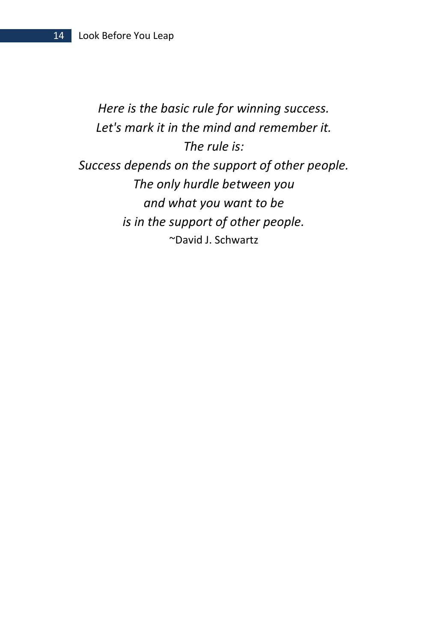*Here is the basic rule for winning success. Let's mark it in the mind and remember it. The rule is: Success depends on the support of other people. The only hurdle between you and what you want to be is in the support of other people.*  ~David J. Schwartz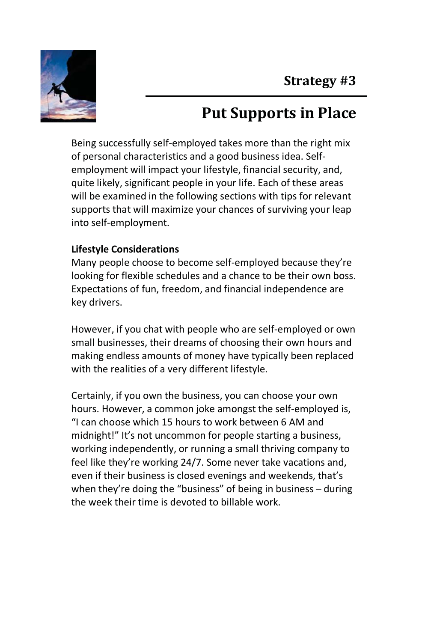

# **Put Supports in Place**

Being successfully self-employed takes more than the right mix of personal characteristics and a good business idea. Selfemployment will impact your lifestyle, financial security, and, quite likely, significant people in your life. Each of these areas will be examined in the following sections with tips for relevant supports that will maximize your chances of surviving your leap into self-employment.

#### **Lifestyle Considerations**

Many people choose to become self-employed because they're looking for flexible schedules and a chance to be their own boss. Expectations of fun, freedom, and financial independence are key drivers.

However, if you chat with people who are self-employed or own small businesses, their dreams of choosing their own hours and making endless amounts of money have typically been replaced with the realities of a very different lifestyle.

Certainly, if you own the business, you can choose your own hours. However, a common joke amongst the self-employed is, "I can choose which 15 hours to work between 6 AM and midnight!" It's not uncommon for people starting a business, working independently, or running a small thriving company to feel like they're working 24/7. Some never take vacations and, even if their business is closed evenings and weekends, that's when they're doing the "business" of being in business – during the week their time is devoted to billable work.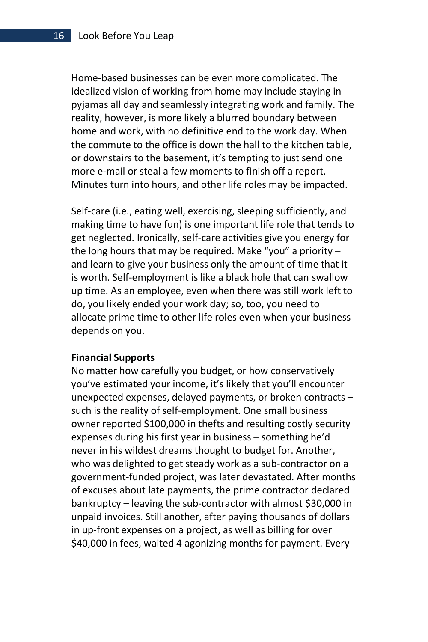Home-based businesses can be even more complicated. The idealized vision of working from home may include staying in pyjamas all day and seamlessly integrating work and family. The reality, however, is more likely a blurred boundary between home and work, with no definitive end to the work day. When the commute to the office is down the hall to the kitchen table, or downstairs to the basement, it's tempting to just send one more e-mail or steal a few moments to finish off a report. Minutes turn into hours, and other life roles may be impacted.

Self-care (i.e., eating well, exercising, sleeping sufficiently, and making time to have fun) is one important life role that tends to get neglected. Ironically, self-care activities give you energy for the long hours that may be required. Make "you" a priority – and learn to give your business only the amount of time that it is worth. Self-employment is like a black hole that can swallow up time. As an employee, even when there was still work left to do, you likely ended your work day; so, too, you need to allocate prime time to other life roles even when your business depends on you.

#### **Financial Supports**

No matter how carefully you budget, or how conservatively you've estimated your income, it's likely that you'll encounter unexpected expenses, delayed payments, or broken contracts – such is the reality of self-employment. One small business owner reported \$100,000 in thefts and resulting costly security expenses during his first year in business – something he'd never in his wildest dreams thought to budget for. Another, who was delighted to get steady work as a sub-contractor on a government-funded project, was later devastated. After months of excuses about late payments, the prime contractor declared bankruptcy – leaving the sub-contractor with almost \$30,000 in unpaid invoices. Still another, after paying thousands of dollars in up-front expenses on a project, as well as billing for over \$40,000 in fees, waited 4 agonizing months for payment. Every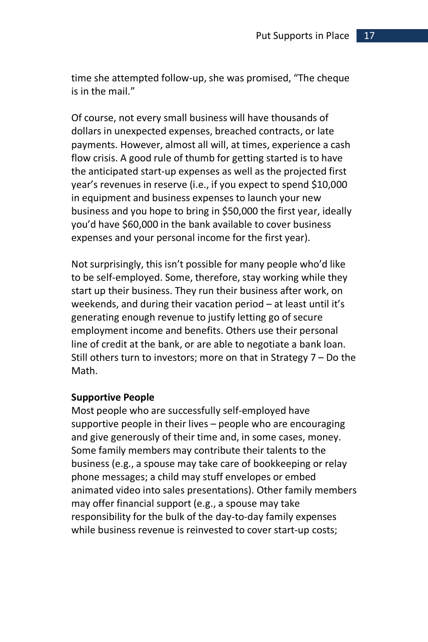time she attempted follow-up, she was promised, "The cheque is in the mail."

Of course, not every small business will have thousands of dollars in unexpected expenses, breached contracts, or late payments. However, almost all will, at times, experience a cash flow crisis. A good rule of thumb for getting started is to have the anticipated start-up expenses as well as the projected first year's revenues in reserve (i.e., if you expect to spend \$10,000 in equipment and business expenses to launch your new business and you hope to bring in \$50,000 the first year, ideally you'd have \$60,000 in the bank available to cover business expenses and your personal income for the first year).

Not surprisingly, this isn't possible for many people who'd like to be self-employed. Some, therefore, stay working while they start up their business. They run their business after work, on weekends, and during their vacation period – at least until it's generating enough revenue to justify letting go of secure employment income and benefits. Others use their personal line of credit at the bank, or are able to negotiate a bank loan. Still others turn to investors; more on that in Strategy 7 – Do the Math.

#### **Supportive People**

Most people who are successfully self-employed have supportive people in their lives – people who are encouraging and give generously of their time and, in some cases, money. Some family members may contribute their talents to the business (e.g., a spouse may take care of bookkeeping or relay phone messages; a child may stuff envelopes or embed animated video into sales presentations). Other family members may offer financial support (e.g., a spouse may take responsibility for the bulk of the day-to-day family expenses while business revenue is reinvested to cover start-up costs;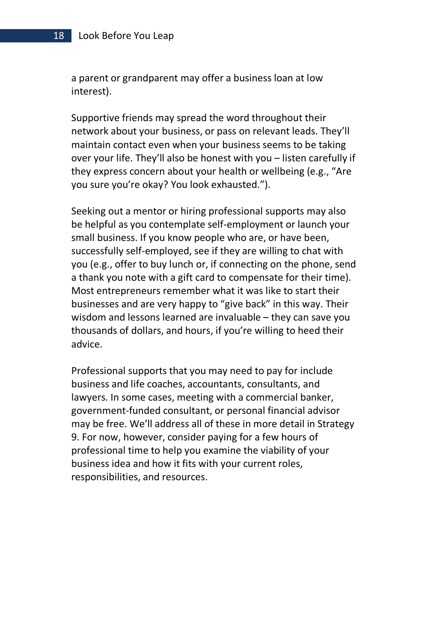a parent or grandparent may offer a business loan at low interest).

Supportive friends may spread the word throughout their network about your business, or pass on relevant leads. They'll maintain contact even when your business seems to be taking over your life. They'll also be honest with you – listen carefully if they express concern about your health or wellbeing (e.g., "Are you sure you're okay? You look exhausted.").

Seeking out a mentor or hiring professional supports may also be helpful as you contemplate self-employment or launch your small business. If you know people who are, or have been, successfully self-employed, see if they are willing to chat with you (e.g., offer to buy lunch or, if connecting on the phone, send a thank you note with a gift card to compensate for their time). Most entrepreneurs remember what it was like to start their businesses and are very happy to "give back" in this way. Their wisdom and lessons learned are invaluable – they can save you thousands of dollars, and hours, if you're willing to heed their advice.

Professional supports that you may need to pay for include business and life coaches, accountants, consultants, and lawyers. In some cases, meeting with a commercial banker, government-funded consultant, or personal financial advisor may be free. We'll address all of these in more detail in Strategy 9. For now, however, consider paying for a few hours of professional time to help you examine the viability of your business idea and how it fits with your current roles, responsibilities, and resources.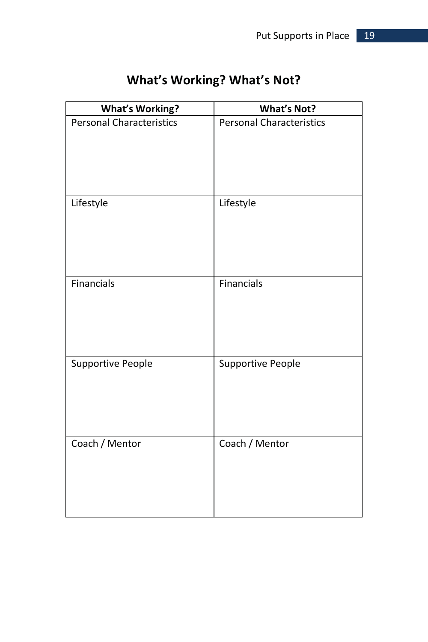| <b>What's Working?</b>          | <b>What's Not?</b>              |
|---------------------------------|---------------------------------|
| <b>Personal Characteristics</b> | <b>Personal Characteristics</b> |
| Lifestyle                       | Lifestyle                       |
| <b>Financials</b>               | <b>Financials</b>               |
| <b>Supportive People</b>        | Supportive People               |
| Coach / Mentor                  | Coach / Mentor                  |

# **What's Working? What's Not?**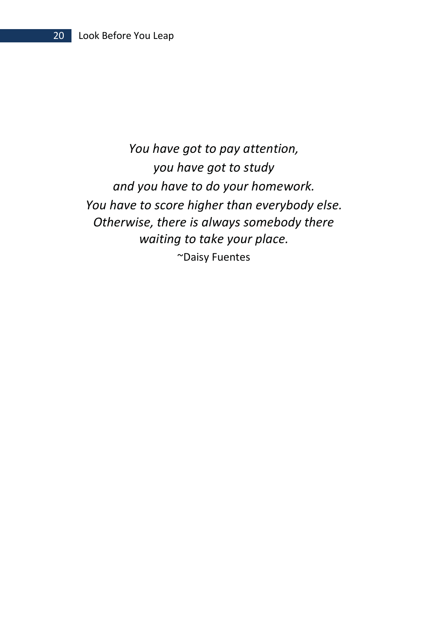*You have got to pay attention, you have got to study and you have to do your homework. You have to score higher than everybody else. Otherwise, there is always somebody there waiting to take your place.*  ~Daisy Fuentes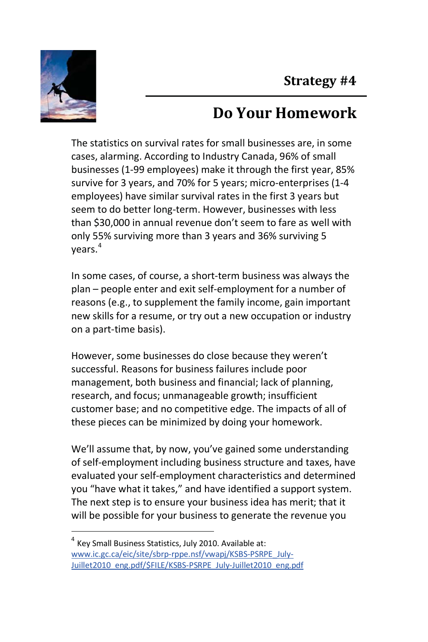

1

# **Do Your Homework**

The statistics on survival rates for small businesses are, in some cases, alarming. According to Industry Canada, 96% of small businesses (1-99 employees) make it through the first year, 85% survive for 3 years, and 70% for 5 years; micro-enterprises (1-4 employees) have similar survival rates in the first 3 years but seem to do better long-term. However, businesses with less than \$30,000 in annual revenue don't seem to fare as well with only 55% surviving more than 3 years and 36% surviving 5 years.<sup>4</sup>

In some cases, of course, a short-term business was always the plan – people enter and exit self-employment for a number of reasons (e.g., to supplement the family income, gain important new skills for a resume, or try out a new occupation or industry on a part-time basis).

However, some businesses do close because they weren't successful. Reasons for business failures include poor management, both business and financial; lack of planning, research, and focus; unmanageable growth; insufficient customer base; and no competitive edge. The impacts of all of these pieces can be minimized by doing your homework.

We'll assume that, by now, you've gained some understanding of self-employment including business structure and taxes, have evaluated your self-employment characteristics and determined you "have what it takes," and have identified a support system. The next step is to ensure your business idea has merit; that it will be possible for your business to generate the revenue you

<sup>4</sup> Key Small Business Statistics, July 2010. Available at: www.ic.gc.ca/eic/site/sbrp-rppe.nsf/vwapj/KSBS-PSRPE\_July-Juillet2010\_eng.pdf/\$FILE/KSBS-PSRPE\_July-Juillet2010\_eng.pdf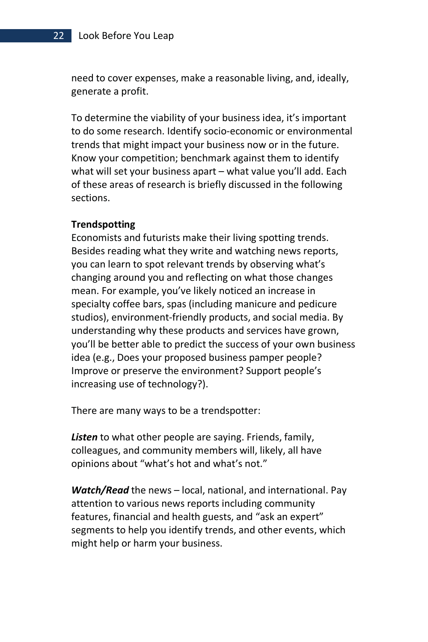need to cover expenses, make a reasonable living, and, ideally, generate a profit.

To determine the viability of your business idea, it's important to do some research. Identify socio-economic or environmental trends that might impact your business now or in the future. Know your competition; benchmark against them to identify what will set your business apart – what value you'll add. Each of these areas of research is briefly discussed in the following sections.

#### **Trendspotting**

Economists and futurists make their living spotting trends. Besides reading what they write and watching news reports, you can learn to spot relevant trends by observing what's changing around you and reflecting on what those changes mean. For example, you've likely noticed an increase in specialty coffee bars, spas (including manicure and pedicure studios), environment-friendly products, and social media. By understanding why these products and services have grown, you'll be better able to predict the success of your own business idea (e.g., Does your proposed business pamper people? Improve or preserve the environment? Support people's increasing use of technology?).

There are many ways to be a trendspotter:

*Listen* to what other people are saying. Friends, family, colleagues, and community members will, likely, all have opinions about "what's hot and what's not."

*Watch/Read* the news – local, national, and international. Pay attention to various news reports including community features, financial and health guests, and "ask an expert" segments to help you identify trends, and other events, which might help or harm your business.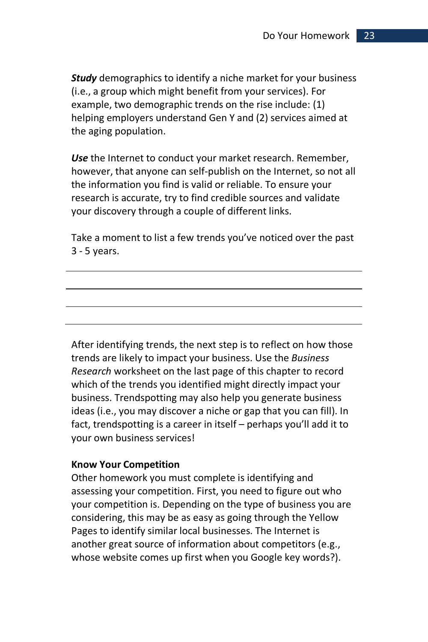*Study* demographics to identify a niche market for your business (i.e., a group which might benefit from your services). For example, two demographic trends on the rise include: (1) helping employers understand Gen Y and (2) services aimed at the aging population.

*Use* the Internet to conduct your market research. Remember, however, that anyone can self-publish on the Internet, so not all the information you find is valid or reliable. To ensure your research is accurate, try to find credible sources and validate your discovery through a couple of different links.

Take a moment to list a few trends you've noticed over the past 3 - 5 years.

After identifying trends, the next step is to reflect on how those trends are likely to impact your business. Use the *Business Research* worksheet on the last page of this chapter to record which of the trends you identified might directly impact your business. Trendspotting may also help you generate business ideas (i.e., you may discover a niche or gap that you can fill). In fact, trendspotting is a career in itself – perhaps you'll add it to your own business services!

#### **Know Your Competition**

Other homework you must complete is identifying and assessing your competition. First, you need to figure out who your competition is. Depending on the type of business you are considering, this may be as easy as going through the Yellow Pages to identify similar local businesses. The Internet is another great source of information about competitors (e.g., whose website comes up first when you Google key words?).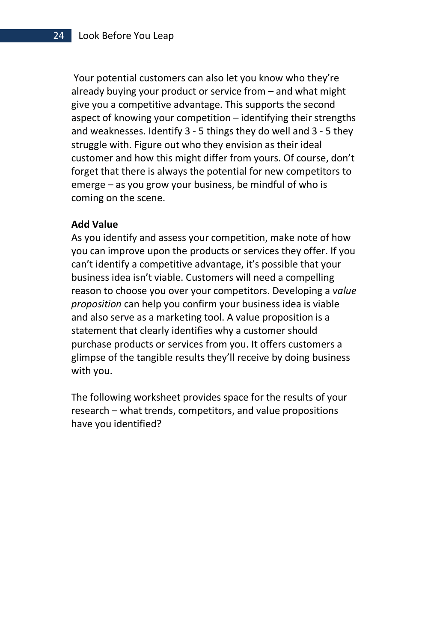Your potential customers can also let you know who they're already buying your product or service from – and what might give you a competitive advantage. This supports the second aspect of knowing your competition – identifying their strengths and weaknesses. Identify 3 - 5 things they do well and 3 - 5 they struggle with. Figure out who they envision as their ideal customer and how this might differ from yours. Of course, don't forget that there is always the potential for new competitors to emerge – as you grow your business, be mindful of who is coming on the scene.

#### **Add Value**

As you identify and assess your competition, make note of how you can improve upon the products or services they offer. If you can't identify a competitive advantage, it's possible that your business idea isn't viable. Customers will need a compelling reason to choose you over your competitors. Developing a *value proposition* can help you confirm your business idea is viable and also serve as a marketing tool. A value proposition is a statement that clearly identifies why a customer should purchase products or services from you. It offers customers a glimpse of the tangible results they'll receive by doing business with you.

The following worksheet provides space for the results of your research – what trends, competitors, and value propositions have you identified?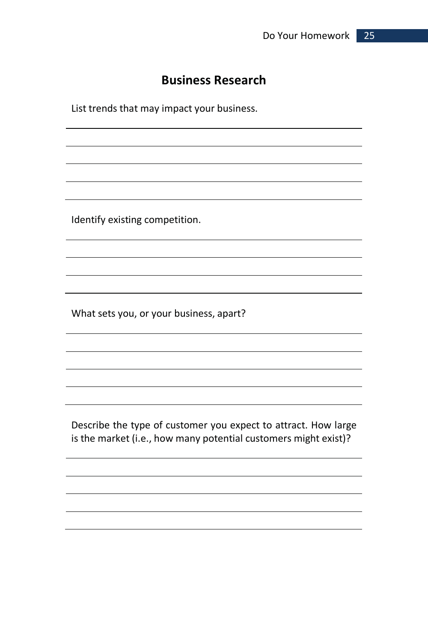### **Business Research**

List trends that may impact your business.

Identify existing competition.

What sets you, or your business, apart?

Describe the type of customer you expect to attract. How large is the market (i.e., how many potential customers might exist)?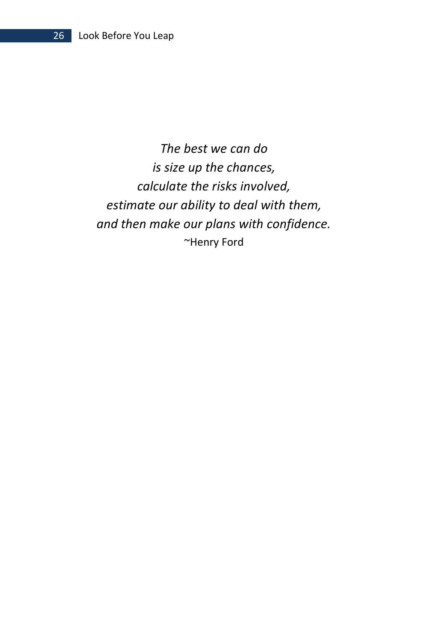#### 26 Look Before You Leap

*The best we can do is size up the chances, calculate the risks involved, estimate our ability to deal with them, and then make our plans with confidence.*  ~Henry Ford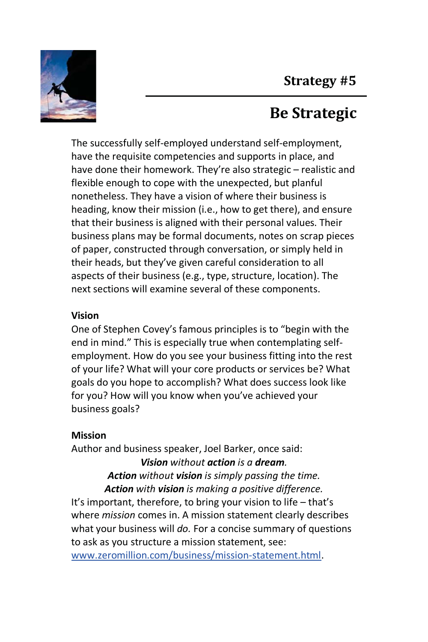

# **Be Strategic**

The successfully self-employed understand self-employment, have the requisite competencies and supports in place, and have done their homework. They're also strategic – realistic and flexible enough to cope with the unexpected, but planful nonetheless. They have a vision of where their business is heading, know their mission (i.e., how to get there), and ensure that their business is aligned with their personal values. Their business plans may be formal documents, notes on scrap pieces of paper, constructed through conversation, or simply held in their heads, but they've given careful consideration to all aspects of their business (e.g., type, structure, location). The next sections will examine several of these components.

#### **Vision**

One of Stephen Covey's famous principles is to "begin with the end in mind." This is especially true when contemplating selfemployment. How do you see your business fitting into the rest of your life? What will your core products or services be? What goals do you hope to accomplish? What does success look like for you? How will you know when you've achieved your business goals?

### **Mission**

Author and business speaker, Joel Barker, once said: *Vision without action is a dream. Action without vision is simply passing the time. Action with vision is making a positive difference.*  It's important, therefore, to bring your vision to life – that's where *mission* comes in. A mission statement clearly describes what your business will *do.* For a concise summary of questions to ask as you structure a mission statement, see:

www.zeromillion.com/business/mission-statement.html.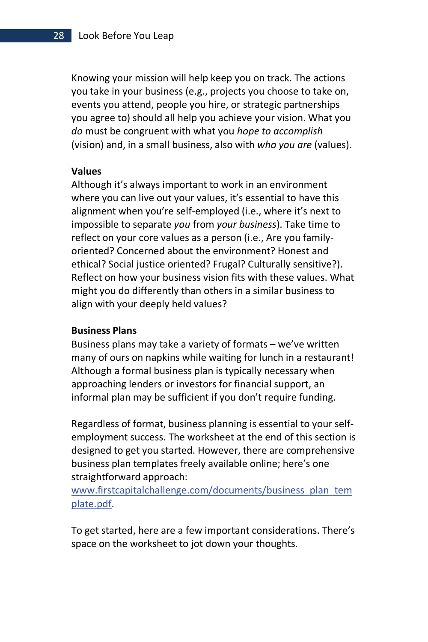Knowing your mission will help keep you on track. The actions you take in your business (e.g., projects you choose to take on, events you attend, people you hire, or strategic partnerships you agree to) should all help you achieve your vision. What you *do* must be congruent with what you *hope to accomplish* (vision) and, in a small business, also with *who you are* (values).

#### **Values**

Although it's always important to work in an environment where you can live out your values, it's essential to have this alignment when you're self-employed (i.e., where it's next to impossible to separate *you* from *your business*). Take time to reflect on your core values as a person (i.e., Are you familyoriented? Concerned about the environment? Honest and ethical? Social justice oriented? Frugal? Culturally sensitive?). Reflect on how your business vision fits with these values. What might you do differently than others in a similar business to align with your deeply held values?

#### **Business Plans**

Business plans may take a variety of formats – we've written many of ours on napkins while waiting for lunch in a restaurant! Although a formal business plan is typically necessary when approaching lenders or investors for financial support, an informal plan may be sufficient if you don't require funding.

Regardless of format, business planning is essential to your selfemployment success. The worksheet at the end of this section is designed to get you started. However, there are comprehensive business plan templates freely available online; here's one straightforward approach:

www.firstcapitalchallenge.com/documents/business\_plan\_tem plate.pdf.

To get started, here are a few important considerations. There's space on the worksheet to jot down your thoughts.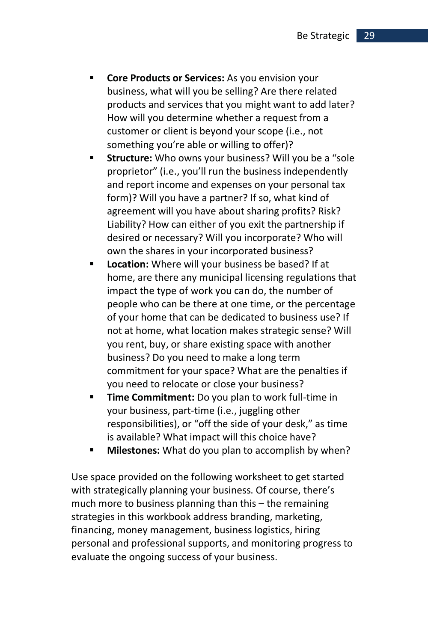- **Core Products or Services:** As you envision your business, what will you be selling? Are there related products and services that you might want to add later? How will you determine whether a request from a customer or client is beyond your scope (i.e., not something you're able or willing to offer)?
- **Structure:** Who owns your business? Will you be a "sole" proprietor" (i.e., you'll run the business independently and report income and expenses on your personal tax form)? Will you have a partner? If so, what kind of agreement will you have about sharing profits? Risk? Liability? How can either of you exit the partnership if desired or necessary? Will you incorporate? Who will own the shares in your incorporated business?
- **Location:** Where will your business be based? If at home, are there any municipal licensing regulations that impact the type of work you can do, the number of people who can be there at one time, or the percentage of your home that can be dedicated to business use? If not at home, what location makes strategic sense? Will you rent, buy, or share existing space with another business? Do you need to make a long term commitment for your space? What are the penalties if you need to relocate or close your business?
- **Time Commitment:** Do you plan to work full-time in your business, part-time (i.e., juggling other responsibilities), or "off the side of your desk," as time is available? What impact will this choice have?
- **Milestones:** What do you plan to accomplish by when?

Use space provided on the following worksheet to get started with strategically planning your business. Of course, there's much more to business planning than this – the remaining strategies in this workbook address branding, marketing, financing, money management, business logistics, hiring personal and professional supports, and monitoring progress to evaluate the ongoing success of your business.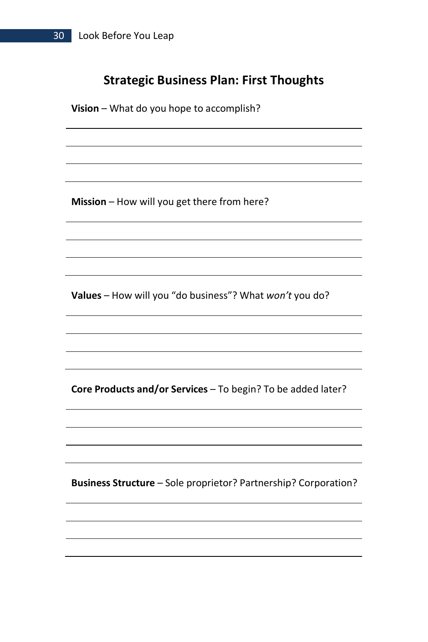### **Strategic Business Plan: First Thoughts**

**Vision** – What do you hope to accomplish?

**Mission** – How will you get there from here?

**Values** – How will you "do business"? What *won't* you do?

**Core Products and/or Services** – To begin? To be added later?

**Business Structure** – Sole proprietor? Partnership? Corporation?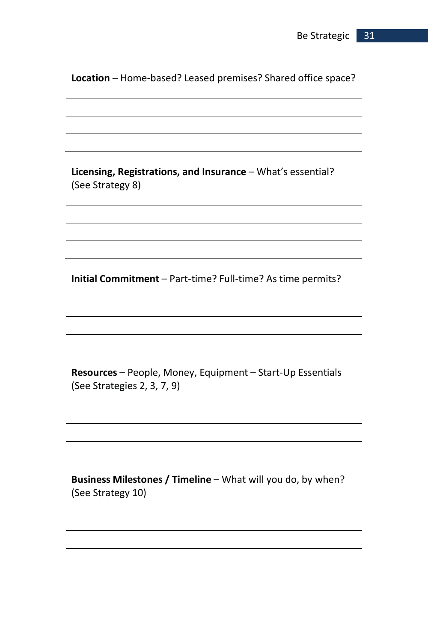| Location - Home-based? Leased premises? Shared office space?                              |
|-------------------------------------------------------------------------------------------|
|                                                                                           |
|                                                                                           |
|                                                                                           |
| Licensing, Registrations, and Insurance - What's essential?<br>(See Strategy 8)           |
|                                                                                           |
|                                                                                           |
|                                                                                           |
| Initial Commitment - Part-time? Full-time? As time permits?                               |
|                                                                                           |
|                                                                                           |
|                                                                                           |
| Resources - People, Money, Equipment - Start-Up Essentials<br>(See Strategies 2, 3, 7, 9) |
|                                                                                           |
|                                                                                           |
|                                                                                           |
| Business Milestones / Timeline - What will you do, by when?<br>(See Strategy 10)          |
|                                                                                           |
|                                                                                           |
|                                                                                           |
|                                                                                           |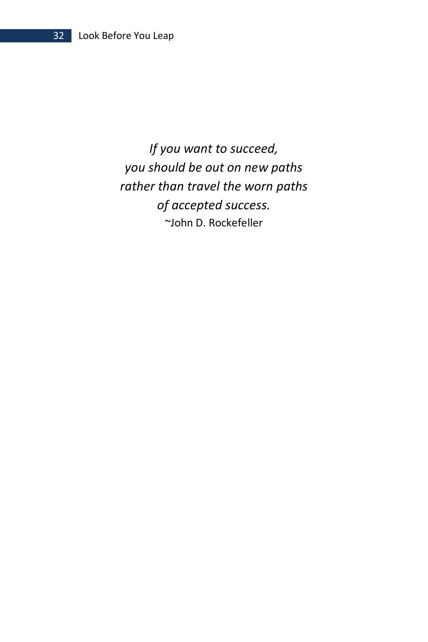*If you want to succeed, you should be out on new paths rather than travel the worn paths of accepted success.*  ~John D. Rockefeller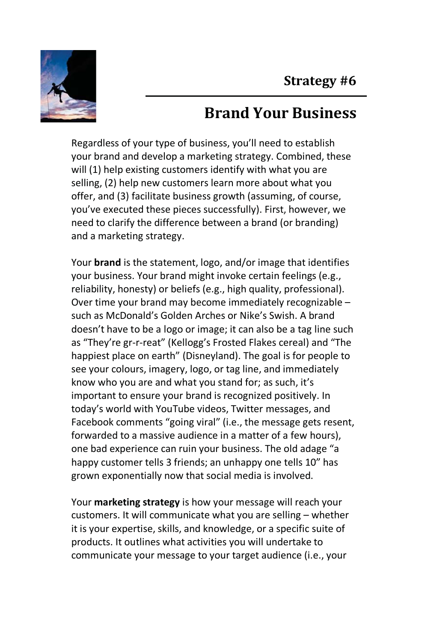

# **Brand Your Business**

Regardless of your type of business, you'll need to establish your brand and develop a marketing strategy. Combined, these will (1) help existing customers identify with what you are selling, (2) help new customers learn more about what you offer, and (3) facilitate business growth (assuming, of course, you've executed these pieces successfully). First, however, we need to clarify the difference between a brand (or branding) and a marketing strategy.

Your **brand** is the statement, logo, and/or image that identifies your business. Your brand might invoke certain feelings (e.g., reliability, honesty) or beliefs (e.g., high quality, professional). Over time your brand may become immediately recognizable – such as McDonald's Golden Arches or Nike's Swish. A brand doesn't have to be a logo or image; it can also be a tag line such as "They're gr-r-reat" (Kellogg's Frosted Flakes cereal) and "The happiest place on earth" (Disneyland). The goal is for people to see your colours, imagery, logo, or tag line, and immediately know who you are and what you stand for; as such, it's important to ensure your brand is recognized positively. In today's world with YouTube videos, Twitter messages, and Facebook comments "going viral" (i.e., the message gets resent, forwarded to a massive audience in a matter of a few hours), one bad experience can ruin your business. The old adage "a happy customer tells 3 friends; an unhappy one tells 10" has grown exponentially now that social media is involved.

Your **marketing strategy** is how your message will reach your customers. It will communicate what you are selling – whether it is your expertise, skills, and knowledge, or a specific suite of products. It outlines what activities you will undertake to communicate your message to your target audience (i.e., your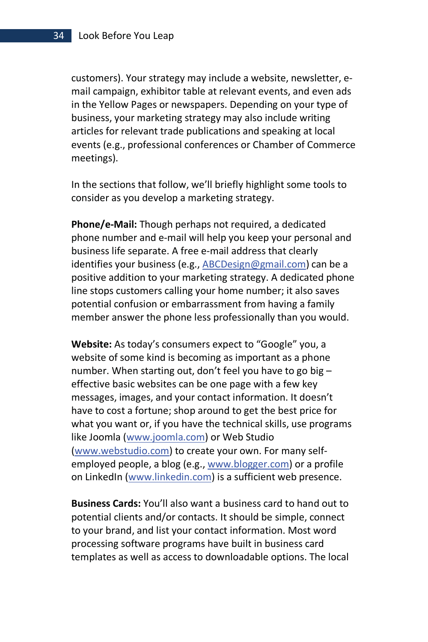customers). Your strategy may include a website, newsletter, email campaign, exhibitor table at relevant events, and even ads in the Yellow Pages or newspapers. Depending on your type of business, your marketing strategy may also include writing articles for relevant trade publications and speaking at local events (e.g., professional conferences or Chamber of Commerce meetings).

In the sections that follow, we'll briefly highlight some tools to consider as you develop a marketing strategy.

**Phone/e-Mail:** Though perhaps not required, a dedicated phone number and e-mail will help you keep your personal and business life separate. A free e-mail address that clearly identifies your business (e.g., ABCDesign@gmail.com) can be a positive addition to your marketing strategy. A dedicated phone line stops customers calling your home number; it also saves potential confusion or embarrassment from having a family member answer the phone less professionally than you would.

**Website:** As today's consumers expect to "Google" you, a website of some kind is becoming as important as a phone number. When starting out, don't feel you have to go big – effective basic websites can be one page with a few key messages, images, and your contact information. It doesn't have to cost a fortune; shop around to get the best price for what you want or, if you have the technical skills, use programs like Joomla (www.joomla.com) or Web Studio (www.webstudio.com) to create your own. For many selfemployed people, a blog (e.g., www.blogger.com) or a profile on LinkedIn (www.linkedin.com) is a sufficient web presence.

**Business Cards:** You'll also want a business card to hand out to potential clients and/or contacts. It should be simple, connect to your brand, and list your contact information. Most word processing software programs have built in business card templates as well as access to downloadable options. The local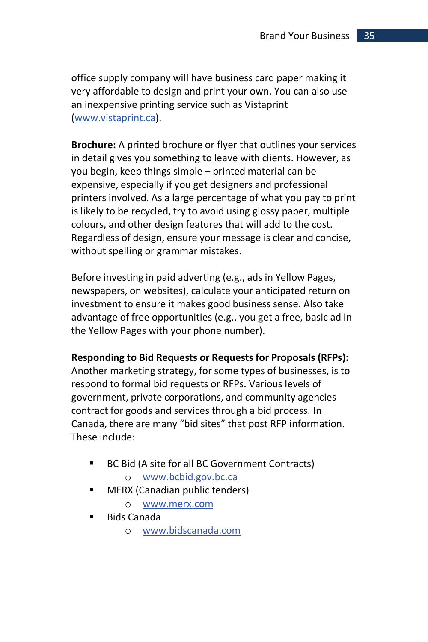office supply company will have business card paper making it very affordable to design and print your own. You can also use an inexpensive printing service such as Vistaprint (www.vistaprint.ca).

**Brochure:** A printed brochure or flyer that outlines your services in detail gives you something to leave with clients. However, as you begin, keep things simple – printed material can be expensive, especially if you get designers and professional printers involved. As a large percentage of what you pay to print is likely to be recycled, try to avoid using glossy paper, multiple colours, and other design features that will add to the cost. Regardless of design, ensure your message is clear and concise, without spelling or grammar mistakes.

Before investing in paid adverting (e.g., ads in Yellow Pages, newspapers, on websites), calculate your anticipated return on investment to ensure it makes good business sense. Also take advantage of free opportunities (e.g., you get a free, basic ad in the Yellow Pages with your phone number).

**Responding to Bid Requests or Requests for Proposals (RFPs):**

Another marketing strategy, for some types of businesses, is to respond to formal bid requests or RFPs. Various levels of government, private corporations, and community agencies contract for goods and services through a bid process. In Canada, there are many "bid sites" that post RFP information. These include:

- BC Bid (A site for all BC Government Contracts)
	- o www.bcbid.gov.bc.ca
- MERX (Canadian public tenders)
	- o www.merx.com
- Bids Canada
	- o www.bidscanada.com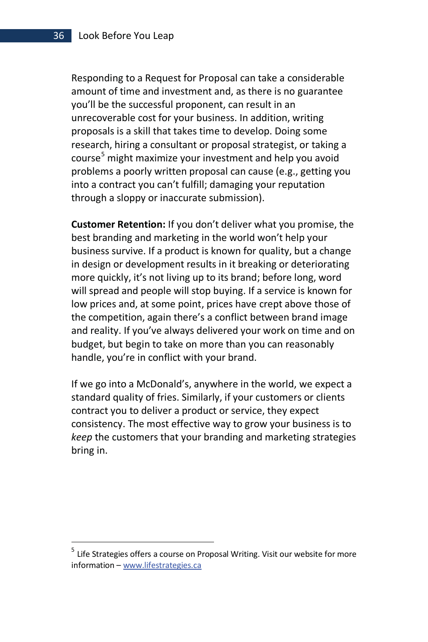Responding to a Request for Proposal can take a considerable amount of time and investment and, as there is no guarantee you'll be the successful proponent, can result in an unrecoverable cost for your business. In addition, writing proposals is a skill that takes time to develop. Doing some research, hiring a consultant or proposal strategist, or taking a course<sup>5</sup> might maximize your investment and help you avoid problems a poorly written proposal can cause (e.g., getting you into a contract you can't fulfill; damaging your reputation through a sloppy or inaccurate submission).

**Customer Retention:** If you don't deliver what you promise, the best branding and marketing in the world won't help your business survive. If a product is known for quality, but a change in design or development results in it breaking or deteriorating more quickly, it's not living up to its brand; before long, word will spread and people will stop buying. If a service is known for low prices and, at some point, prices have crept above those of the competition, again there's a conflict between brand image and reality. If you've always delivered your work on time and on budget, but begin to take on more than you can reasonably handle, you're in conflict with your brand.

If we go into a McDonald's, anywhere in the world, we expect a standard quality of fries. Similarly, if your customers or clients contract you to deliver a product or service, they expect consistency. The most effective way to grow your business is to *keep* the customers that your branding and marketing strategies bring in.

 $\overline{a}$ 

 $<sup>5</sup>$  Life Strategies offers a course on Proposal Writing. Visit our website for more</sup> information – www.lifestrategies.ca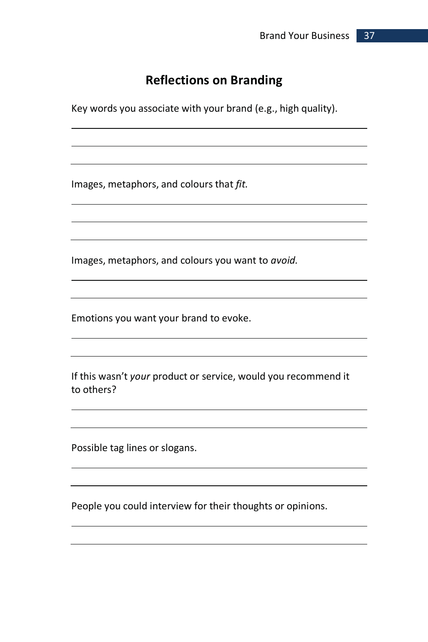### **Reflections on Branding**

Key words you associate with your brand (e.g., high quality).

Images, metaphors, and colours that *fit.*

Images, metaphors, and colours you want to *avoid.*

Emotions you want your brand to evoke.

If this wasn't *your* product or service, would you recommend it to others?

Possible tag lines or slogans.

People you could interview for their thoughts or opinions.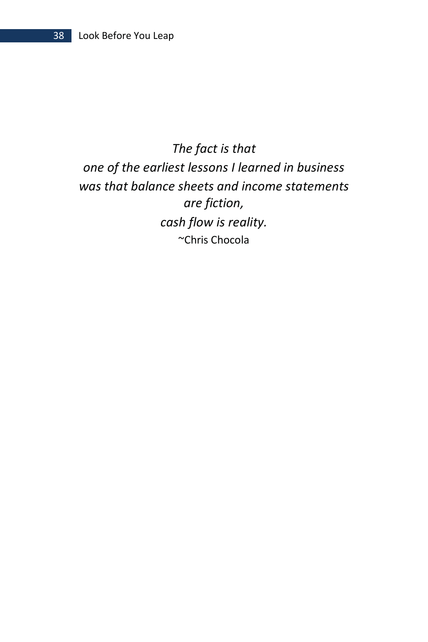*The fact is that one of the earliest lessons I learned in business was that balance sheets and income statements are fiction, cash flow is reality.*  ~Chris Chocola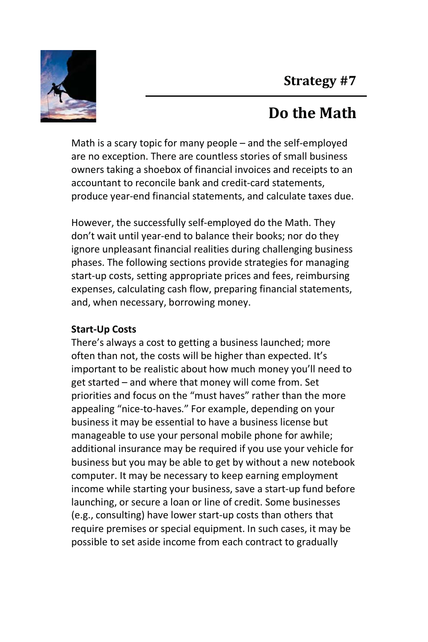

# **Do the Math**

Math is a scary topic for many people – and the self-employed are no exception. There are countless stories of small business owners taking a shoebox of financial invoices and receipts to an accountant to reconcile bank and credit-card statements, produce year-end financial statements, and calculate taxes due.

However, the successfully self-employed do the Math. They don't wait until year-end to balance their books; nor do they ignore unpleasant financial realities during challenging business phases. The following sections provide strategies for managing start-up costs, setting appropriate prices and fees, reimbursing expenses, calculating cash flow, preparing financial statements, and, when necessary, borrowing money.

#### **Start-Up Costs**

There's always a cost to getting a business launched; more often than not, the costs will be higher than expected. It's important to be realistic about how much money you'll need to get started – and where that money will come from. Set priorities and focus on the "must haves" rather than the more appealing "nice-to-haves." For example, depending on your business it may be essential to have a business license but manageable to use your personal mobile phone for awhile; additional insurance may be required if you use your vehicle for business but you may be able to get by without a new notebook computer. It may be necessary to keep earning employment income while starting your business, save a start-up fund before launching, or secure a loan or line of credit. Some businesses (e.g., consulting) have lower start-up costs than others that require premises or special equipment. In such cases, it may be possible to set aside income from each contract to gradually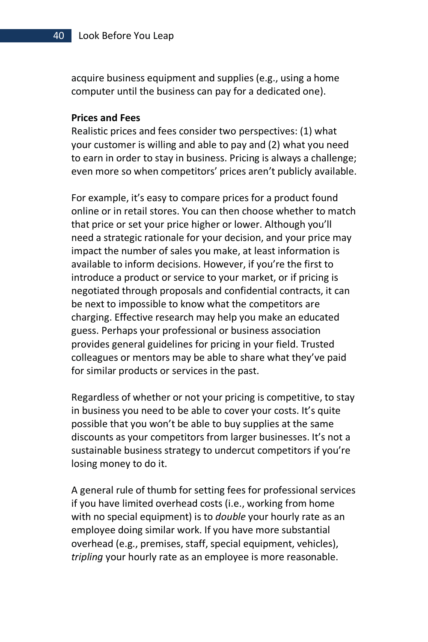acquire business equipment and supplies (e.g., using a home computer until the business can pay for a dedicated one).

#### **Prices and Fees**

Realistic prices and fees consider two perspectives: (1) what your customer is willing and able to pay and (2) what you need to earn in order to stay in business. Pricing is always a challenge; even more so when competitors' prices aren't publicly available.

For example, it's easy to compare prices for a product found online or in retail stores. You can then choose whether to match that price or set your price higher or lower. Although you'll need a strategic rationale for your decision, and your price may impact the number of sales you make, at least information is available to inform decisions. However, if you're the first to introduce a product or service to your market, or if pricing is negotiated through proposals and confidential contracts, it can be next to impossible to know what the competitors are charging. Effective research may help you make an educated guess. Perhaps your professional or business association provides general guidelines for pricing in your field. Trusted colleagues or mentors may be able to share what they've paid for similar products or services in the past.

Regardless of whether or not your pricing is competitive, to stay in business you need to be able to cover your costs. It's quite possible that you won't be able to buy supplies at the same discounts as your competitors from larger businesses. It's not a sustainable business strategy to undercut competitors if you're losing money to do it.

A general rule of thumb for setting fees for professional services if you have limited overhead costs (i.e., working from home with no special equipment) is to *double* your hourly rate as an employee doing similar work. If you have more substantial overhead (e.g., premises, staff, special equipment, vehicles), *tripling* your hourly rate as an employee is more reasonable.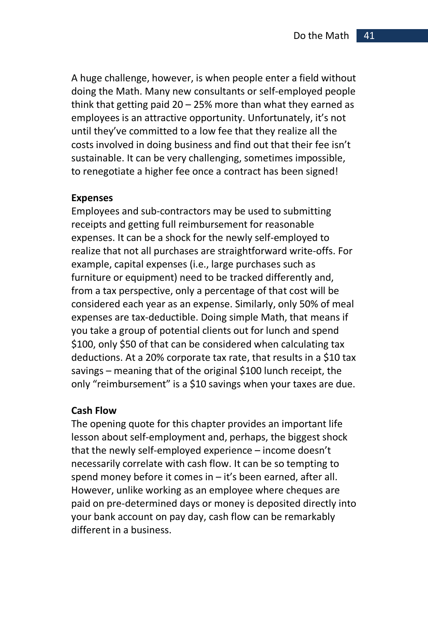A huge challenge, however, is when people enter a field without doing the Math. Many new consultants or self-employed people think that getting paid 20 – 25% more than what they earned as employees is an attractive opportunity. Unfortunately, it's not until they've committed to a low fee that they realize all the costs involved in doing business and find out that their fee isn't sustainable. It can be very challenging, sometimes impossible, to renegotiate a higher fee once a contract has been signed!

#### **Expenses**

Employees and sub-contractors may be used to submitting receipts and getting full reimbursement for reasonable expenses. It can be a shock for the newly self-employed to realize that not all purchases are straightforward write-offs. For example, capital expenses (i.e., large purchases such as furniture or equipment) need to be tracked differently and, from a tax perspective, only a percentage of that cost will be considered each year as an expense. Similarly, only 50% of meal expenses are tax-deductible. Doing simple Math, that means if you take a group of potential clients out for lunch and spend \$100, only \$50 of that can be considered when calculating tax deductions. At a 20% corporate tax rate, that results in a \$10 tax savings – meaning that of the original \$100 lunch receipt, the only "reimbursement" is a \$10 savings when your taxes are due.

#### **Cash Flow**

The opening quote for this chapter provides an important life lesson about self-employment and, perhaps, the biggest shock that the newly self-employed experience – income doesn't necessarily correlate with cash flow. It can be so tempting to spend money before it comes in – it's been earned, after all. However, unlike working as an employee where cheques are paid on pre-determined days or money is deposited directly into your bank account on pay day, cash flow can be remarkably different in a business.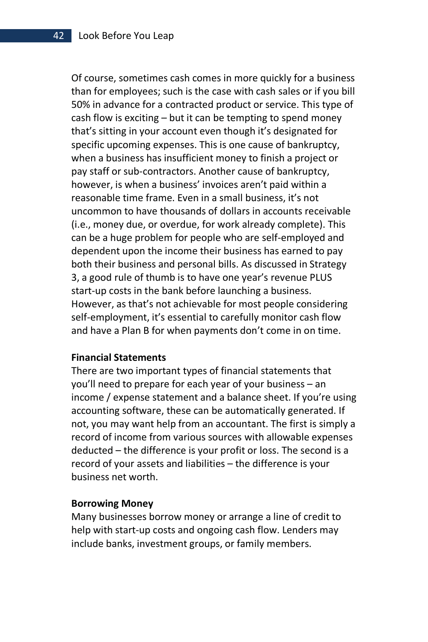Of course, sometimes cash comes in more quickly for a business than for employees; such is the case with cash sales or if you bill 50% in advance for a contracted product or service. This type of cash flow is exciting – but it can be tempting to spend money that's sitting in your account even though it's designated for specific upcoming expenses. This is one cause of bankruptcy, when a business has insufficient money to finish a project or pay staff or sub-contractors. Another cause of bankruptcy, however, is when a business' invoices aren't paid within a reasonable time frame. Even in a small business, it's not uncommon to have thousands of dollars in accounts receivable (i.e., money due, or overdue, for work already complete). This can be a huge problem for people who are self-employed and dependent upon the income their business has earned to pay both their business and personal bills. As discussed in Strategy 3, a good rule of thumb is to have one year's revenue PLUS start-up costs in the bank before launching a business. However, as that's not achievable for most people considering self-employment, it's essential to carefully monitor cash flow and have a Plan B for when payments don't come in on time.

#### **Financial Statements**

There are two important types of financial statements that you'll need to prepare for each year of your business – an income / expense statement and a balance sheet. If you're using accounting software, these can be automatically generated. If not, you may want help from an accountant. The first is simply a record of income from various sources with allowable expenses deducted – the difference is your profit or loss. The second is a record of your assets and liabilities – the difference is your business net worth.

#### **Borrowing Money**

Many businesses borrow money or arrange a line of credit to help with start-up costs and ongoing cash flow. Lenders may include banks, investment groups, or family members.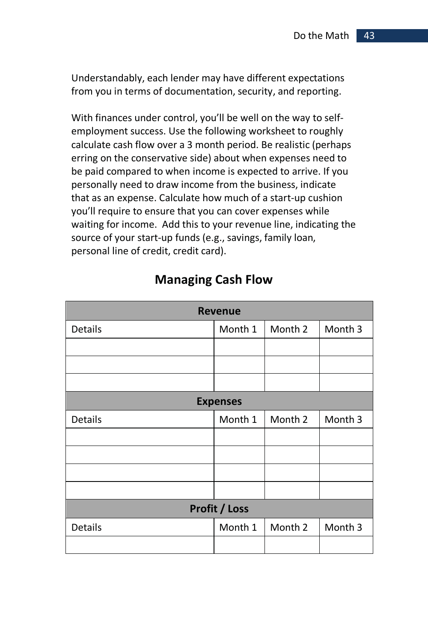Understandably, each lender may have different expectations from you in terms of documentation, security, and reporting.

With finances under control, you'll be well on the way to selfemployment success. Use the following worksheet to roughly calculate cash flow over a 3 month period. Be realistic (perhaps erring on the conservative side) about when expenses need to be paid compared to when income is expected to arrive. If you personally need to draw income from the business, indicate that as an expense. Calculate how much of a start-up cushion you'll require to ensure that you can cover expenses while waiting for income. Add this to your revenue line, indicating the source of your start-up funds (e.g., savings, family loan, personal line of credit, credit card).

| <b>Revenue</b>       |         |         |         |
|----------------------|---------|---------|---------|
| <b>Details</b>       | Month 1 | Month 2 | Month 3 |
|                      |         |         |         |
|                      |         |         |         |
|                      |         |         |         |
| <b>Expenses</b>      |         |         |         |
| Details              | Month 1 | Month 2 | Month 3 |
|                      |         |         |         |
|                      |         |         |         |
|                      |         |         |         |
|                      |         |         |         |
| <b>Profit / Loss</b> |         |         |         |
| <b>Details</b>       | Month 1 | Month 2 | Month 3 |
|                      |         |         |         |

### **Managing Cash Flow**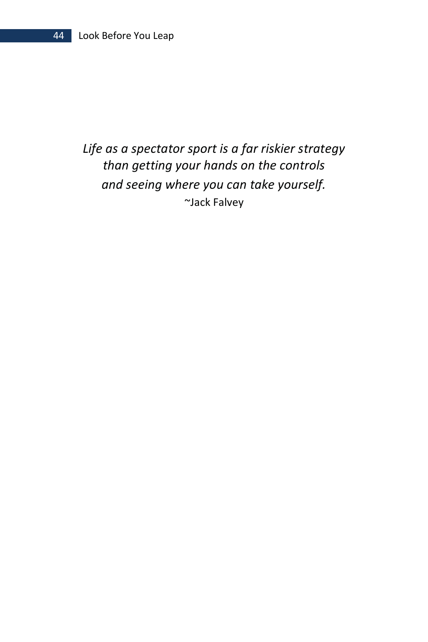# *Life as a spectator sport is a far riskier strategy than getting your hands on the controls and seeing where you can take yourself.*  ~Jack Falvey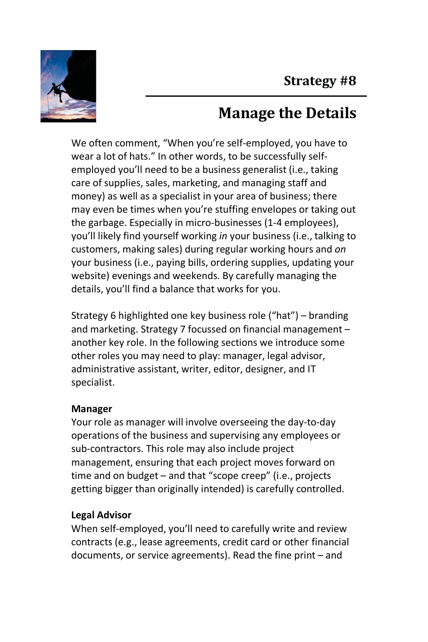

# **Manage the Details**

We often comment, "When you're self-employed, you have to wear a lot of hats." In other words, to be successfully selfemployed you'll need to be a business generalist (i.e., taking care of supplies, sales, marketing, and managing staff and money) as well as a specialist in your area of business; there may even be times when you're stuffing envelopes or taking out the garbage. Especially in micro-businesses (1-4 employees), you'll likely find yourself working *in* your business (i.e., talking to customers, making sales) during regular working hours and *on* your business (i.e., paying bills, ordering supplies, updating your website) evenings and weekends. By carefully managing the details, you'll find a balance that works for you.

Strategy 6 highlighted one key business role ("hat") – branding and marketing. Strategy 7 focussed on financial management – another key role. In the following sections we introduce some other roles you may need to play: manager, legal advisor, administrative assistant, writer, editor, designer, and IT specialist.

#### **Manager**

Your role as manager will involve overseeing the day-to-day operations of the business and supervising any employees or sub-contractors. This role may also include project management, ensuring that each project moves forward on time and on budget – and that "scope creep" (i.e., projects getting bigger than originally intended) is carefully controlled.

#### **Legal Advisor**

When self-employed, you'll need to carefully write and review contracts (e.g., lease agreements, credit card or other financial documents, or service agreements). Read the fine print – and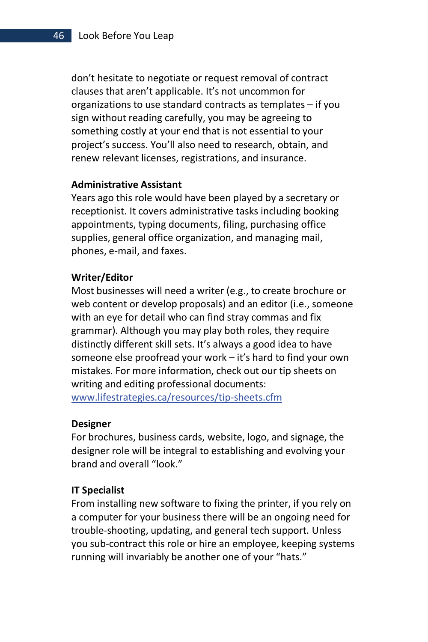don't hesitate to negotiate or request removal of contract clauses that aren't applicable. It's not uncommon for organizations to use standard contracts as templates – if you sign without reading carefully, you may be agreeing to something costly at your end that is not essential to your project's success. You'll also need to research, obtain, and renew relevant licenses, registrations, and insurance.

#### **Administrative Assistant**

Years ago this role would have been played by a secretary or receptionist. It covers administrative tasks including booking appointments, typing documents, filing, purchasing office supplies, general office organization, and managing mail, phones, e-mail, and faxes.

#### **Writer/Editor**

Most businesses will need a writer (e.g., to create brochure or web content or develop proposals) and an editor (i.e., someone with an eye for detail who can find stray commas and fix grammar). Although you may play both roles, they require distinctly different skill sets. It's always a good idea to have someone else proofread your work – it's hard to find your own mistakes. For more information, check out our tip sheets on writing and editing professional documents:

www.lifestrategies.ca/resources/tip-sheets.cfm

#### **Designer**

For brochures, business cards, website, logo, and signage, the designer role will be integral to establishing and evolving your brand and overall "look."

#### **IT Specialist**

From installing new software to fixing the printer, if you rely on a computer for your business there will be an ongoing need for trouble-shooting, updating, and general tech support. Unless you sub-contract this role or hire an employee, keeping systems running will invariably be another one of your "hats."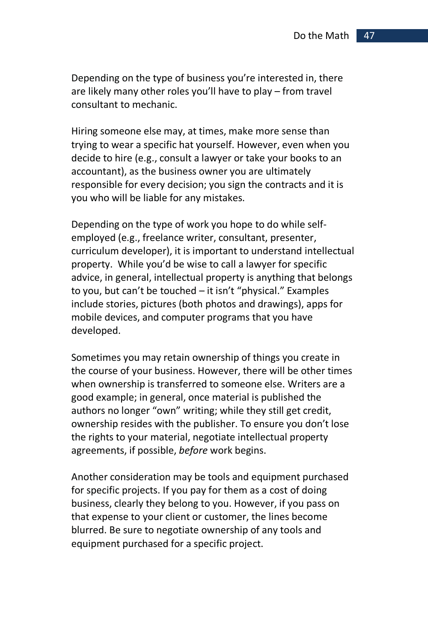Depending on the type of business you're interested in, there are likely many other roles you'll have to play – from travel consultant to mechanic.

Hiring someone else may, at times, make more sense than trying to wear a specific hat yourself. However, even when you decide to hire (e.g., consult a lawyer or take your books to an accountant), as the business owner you are ultimately responsible for every decision; you sign the contracts and it is you who will be liable for any mistakes.

Depending on the type of work you hope to do while selfemployed (e.g., freelance writer, consultant, presenter, curriculum developer), it is important to understand intellectual property. While you'd be wise to call a lawyer for specific advice, in general, intellectual property is anything that belongs to you, but can't be touched – it isn't "physical." Examples include stories, pictures (both photos and drawings), apps for mobile devices, and computer programs that you have developed.

Sometimes you may retain ownership of things you create in the course of your business. However, there will be other times when ownership is transferred to someone else. Writers are a good example; in general, once material is published the authors no longer "own" writing; while they still get credit, ownership resides with the publisher. To ensure you don't lose the rights to your material, negotiate intellectual property agreements, if possible, *before* work begins.

Another consideration may be tools and equipment purchased for specific projects. If you pay for them as a cost of doing business, clearly they belong to you. However, if you pass on that expense to your client or customer, the lines become blurred. Be sure to negotiate ownership of any tools and equipment purchased for a specific project.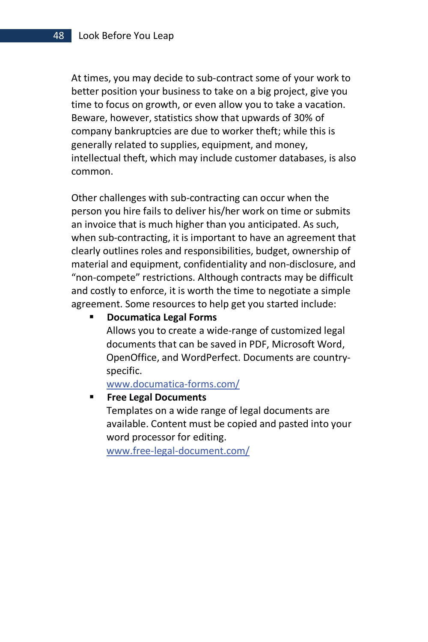At times, you may decide to sub-contract some of your work to better position your business to take on a big project, give you time to focus on growth, or even allow you to take a vacation. Beware, however, statistics show that upwards of 30% of company bankruptcies are due to worker theft; while this is generally related to supplies, equipment, and money, intellectual theft, which may include customer databases, is also common.

Other challenges with sub-contracting can occur when the person you hire fails to deliver his/her work on time or submits an invoice that is much higher than you anticipated. As such, when sub-contracting, it is important to have an agreement that clearly outlines roles and responsibilities, budget, ownership of material and equipment, confidentiality and non-disclosure, and "non-compete" restrictions. Although contracts may be difficult and costly to enforce, it is worth the time to negotiate a simple agreement. Some resources to help get you started include:

**Documatica Legal Forms** 

Allows you to create a wide-range of customized legal documents that can be saved in PDF, Microsoft Word, OpenOffice, and WordPerfect. Documents are countryspecific.

www.documatica-forms.com/

#### **Free Legal Documents**

Templates on a wide range of legal documents are available. Content must be copied and pasted into your word processor for editing.

www.free-legal-document.com/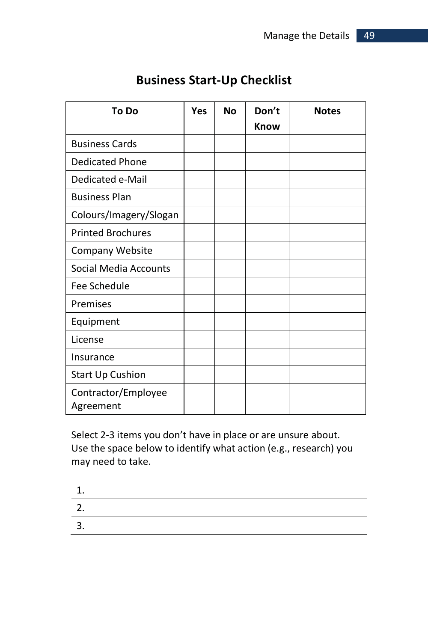| <b>To Do</b>                     | Yes | <b>No</b> | Don't<br>Know | <b>Notes</b> |
|----------------------------------|-----|-----------|---------------|--------------|
| <b>Business Cards</b>            |     |           |               |              |
| <b>Dedicated Phone</b>           |     |           |               |              |
| Dedicated e-Mail                 |     |           |               |              |
| <b>Business Plan</b>             |     |           |               |              |
| Colours/Imagery/Slogan           |     |           |               |              |
| <b>Printed Brochures</b>         |     |           |               |              |
| Company Website                  |     |           |               |              |
| <b>Social Media Accounts</b>     |     |           |               |              |
| Fee Schedule                     |     |           |               |              |
| Premises                         |     |           |               |              |
| Equipment                        |     |           |               |              |
| License                          |     |           |               |              |
| Insurance                        |     |           |               |              |
| <b>Start Up Cushion</b>          |     |           |               |              |
| Contractor/Employee<br>Agreement |     |           |               |              |

### **Business Start-Up Checklist**

Select 2-3 items you don't have in place or are unsure about. Use the space below to identify what action (e.g., research) you may need to take.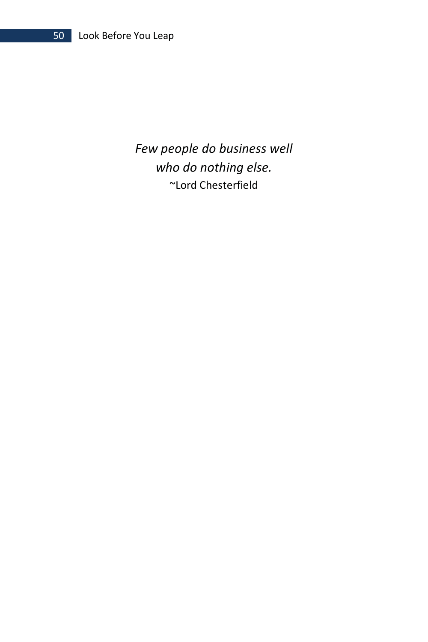*Few people do business well who do nothing else.*  ~Lord Chesterfield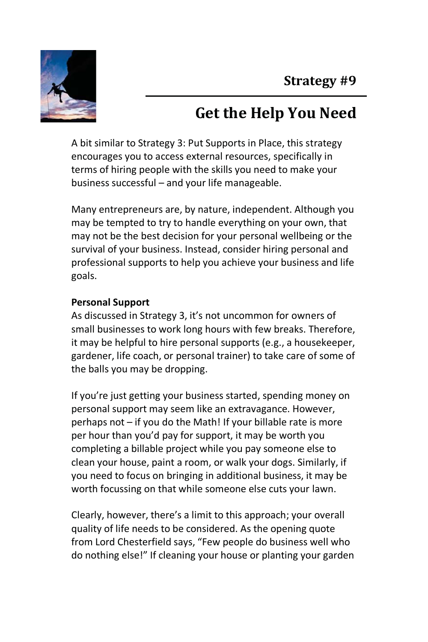

# **Get the Help You Need**

A bit similar to Strategy 3: Put Supports in Place, this strategy encourages you to access external resources, specifically in terms of hiring people with the skills you need to make your business successful – and your life manageable.

Many entrepreneurs are, by nature, independent. Although you may be tempted to try to handle everything on your own, that may not be the best decision for your personal wellbeing or the survival of your business. Instead, consider hiring personal and professional supports to help you achieve your business and life goals.

#### **Personal Support**

As discussed in Strategy 3, it's not uncommon for owners of small businesses to work long hours with few breaks. Therefore, it may be helpful to hire personal supports (e.g., a housekeeper, gardener, life coach, or personal trainer) to take care of some of the balls you may be dropping.

If you're just getting your business started, spending money on personal support may seem like an extravagance. However, perhaps not – if you do the Math! If your billable rate is more per hour than you'd pay for support, it may be worth you completing a billable project while you pay someone else to clean your house, paint a room, or walk your dogs. Similarly, if you need to focus on bringing in additional business, it may be worth focussing on that while someone else cuts your lawn.

Clearly, however, there's a limit to this approach; your overall quality of life needs to be considered. As the opening quote from Lord Chesterfield says, "Few people do business well who do nothing else!" If cleaning your house or planting your garden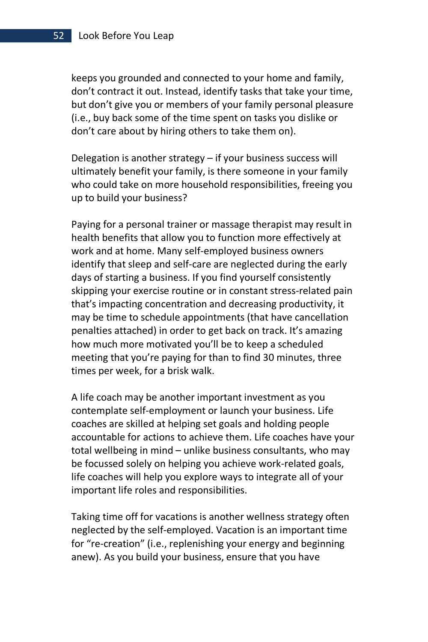keeps you grounded and connected to your home and family, don't contract it out. Instead, identify tasks that take your time, but don't give you or members of your family personal pleasure (i.e., buy back some of the time spent on tasks you dislike or don't care about by hiring others to take them on).

Delegation is another strategy – if your business success will ultimately benefit your family, is there someone in your family who could take on more household responsibilities, freeing you up to build your business?

Paying for a personal trainer or massage therapist may result in health benefits that allow you to function more effectively at work and at home. Many self-employed business owners identify that sleep and self-care are neglected during the early days of starting a business. If you find yourself consistently skipping your exercise routine or in constant stress-related pain that's impacting concentration and decreasing productivity, it may be time to schedule appointments (that have cancellation penalties attached) in order to get back on track. It's amazing how much more motivated you'll be to keep a scheduled meeting that you're paying for than to find 30 minutes, three times per week, for a brisk walk.

A life coach may be another important investment as you contemplate self-employment or launch your business. Life coaches are skilled at helping set goals and holding people accountable for actions to achieve them. Life coaches have your total wellbeing in mind – unlike business consultants, who may be focussed solely on helping you achieve work-related goals, life coaches will help you explore ways to integrate all of your important life roles and responsibilities.

Taking time off for vacations is another wellness strategy often neglected by the self-employed. Vacation is an important time for "re-creation" (i.e., replenishing your energy and beginning anew). As you build your business, ensure that you have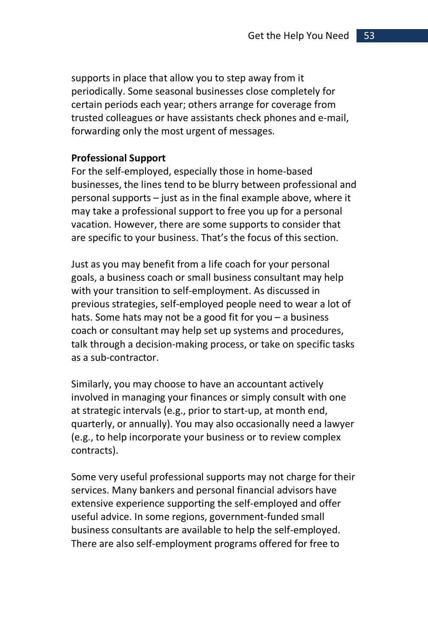supports in place that allow you to step away from it periodically. Some seasonal businesses close completely for certain periods each year; others arrange for coverage from trusted colleagues or have assistants check phones and e-mail, forwarding only the most urgent of messages.

#### **Professional Support**

For the self-employed, especially those in home-based businesses, the lines tend to be blurry between professional and personal supports – just as in the final example above, where it may take a professional support to free you up for a personal vacation. However, there are some supports to consider that are specific to your business. That's the focus of this section.

Just as you may benefit from a life coach for your personal goals, a business coach or small business consultant may help with your transition to self-employment. As discussed in previous strategies, self-employed people need to wear a lot of hats. Some hats may not be a good fit for you – a business coach or consultant may help set up systems and procedures, talk through a decision-making process, or take on specific tasks as a sub-contractor.

Similarly, you may choose to have an accountant actively involved in managing your finances or simply consult with one at strategic intervals (e.g., prior to start-up, at month end, quarterly, or annually). You may also occasionally need a lawyer (e.g., to help incorporate your business or to review complex contracts).

Some very useful professional supports may not charge for their services. Many bankers and personal financial advisors have extensive experience supporting the self-employed and offer useful advice. In some regions, government-funded small business consultants are available to help the self-employed. There are also self-employment programs offered for free to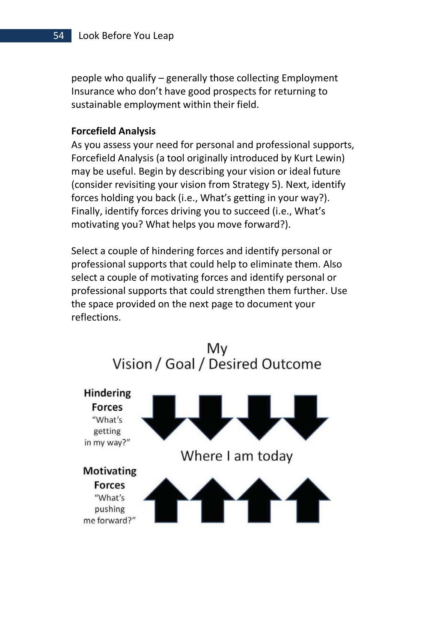people who qualify – generally those collecting Employment Insurance who don't have good prospects for returning to sustainable employment within their field.

#### **Forcefield Analysis**

As you assess your need for personal and professional supports, Forcefield Analysis (a tool originally introduced by Kurt Lewin) may be useful. Begin by describing your vision or ideal future (consider revisiting your vision from Strategy 5). Next, identify forces holding you back (i.e., What's getting in your way?). Finally, identify forces driving you to succeed (i.e., What's motivating you? What helps you move forward?).

Select a couple of hindering forces and identify personal or professional supports that could help to eliminate them. Also select a couple of motivating forces and identify personal or professional supports that could strengthen them further. Use the space provided on the next page to document your reflections.



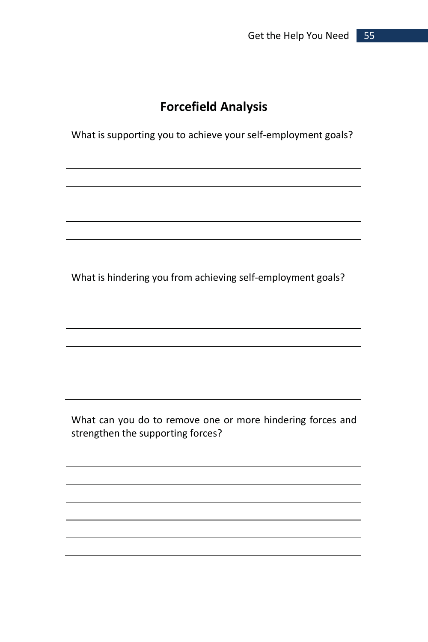### **Forcefield Analysis**

What is supporting you to achieve your self-employment goals?

What is hindering you from achieving self-employment goals?

What can you do to remove one or more hindering forces and strengthen the supporting forces?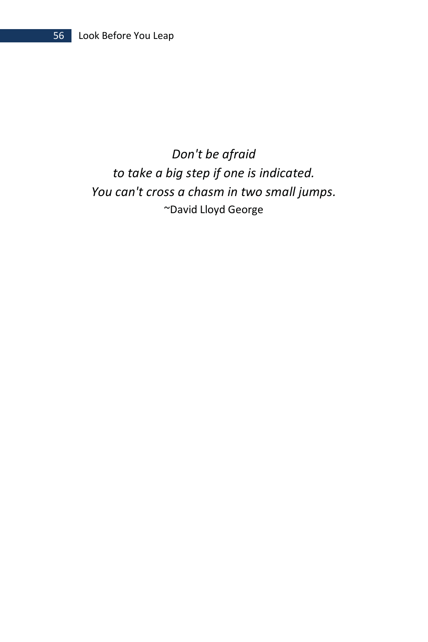#### 56 Look Before You Leap

*Don't be afraid to take a big step if one is indicated. You can't cross a chasm in two small jumps.*  ~David Lloyd George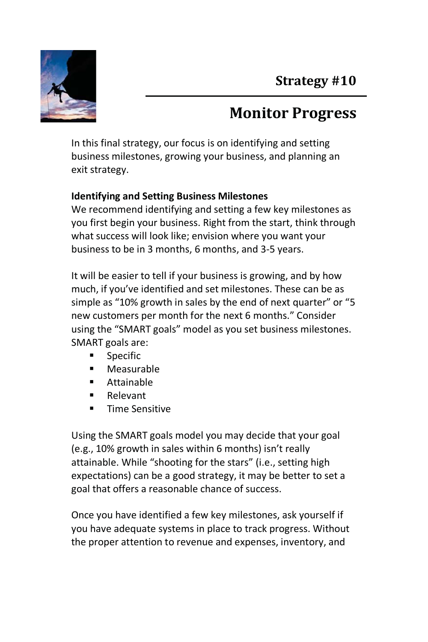

# **Monitor Progress**

In this final strategy, our focus is on identifying and setting business milestones, growing your business, and planning an exit strategy.

### **Identifying and Setting Business Milestones**

We recommend identifying and setting a few key milestones as you first begin your business. Right from the start, think through what success will look like; envision where you want your business to be in 3 months, 6 months, and 3-5 years.

It will be easier to tell if your business is growing, and by how much, if you've identified and set milestones. These can be as simple as "10% growth in sales by the end of next quarter" or "5 new customers per month for the next 6 months." Consider using the "SMART goals" model as you set business milestones. SMART goals are:

- **Specific**
- Measurable
- Attainable
- Relevant
- **Time Sensitive**

Using the SMART goals model you may decide that your goal (e.g., 10% growth in sales within 6 months) isn't really attainable. While "shooting for the stars" (i.e., setting high expectations) can be a good strategy, it may be better to set a goal that offers a reasonable chance of success.

Once you have identified a few key milestones, ask yourself if you have adequate systems in place to track progress. Without the proper attention to revenue and expenses, inventory, and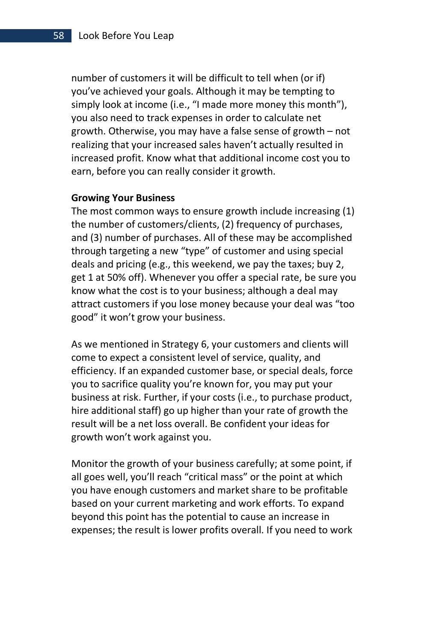number of customers it will be difficult to tell when (or if) you've achieved your goals. Although it may be tempting to simply look at income (i.e., "I made more money this month"), you also need to track expenses in order to calculate net growth. Otherwise, you may have a false sense of growth – not realizing that your increased sales haven't actually resulted in increased profit. Know what that additional income cost you to earn, before you can really consider it growth.

#### **Growing Your Business**

The most common ways to ensure growth include increasing (1) the number of customers/clients, (2) frequency of purchases, and (3) number of purchases. All of these may be accomplished through targeting a new "type" of customer and using special deals and pricing (e.g., this weekend, we pay the taxes; buy 2, get 1 at 50% off). Whenever you offer a special rate, be sure you know what the cost is to your business; although a deal may attract customers if you lose money because your deal was "too good" it won't grow your business.

As we mentioned in Strategy 6, your customers and clients will come to expect a consistent level of service, quality, and efficiency. If an expanded customer base, or special deals, force you to sacrifice quality you're known for, you may put your business at risk. Further, if your costs (i.e., to purchase product, hire additional staff) go up higher than your rate of growth the result will be a net loss overall. Be confident your ideas for growth won't work against you.

Monitor the growth of your business carefully; at some point, if all goes well, you'll reach "critical mass" or the point at which you have enough customers and market share to be profitable based on your current marketing and work efforts. To expand beyond this point has the potential to cause an increase in expenses; the result is lower profits overall. If you need to work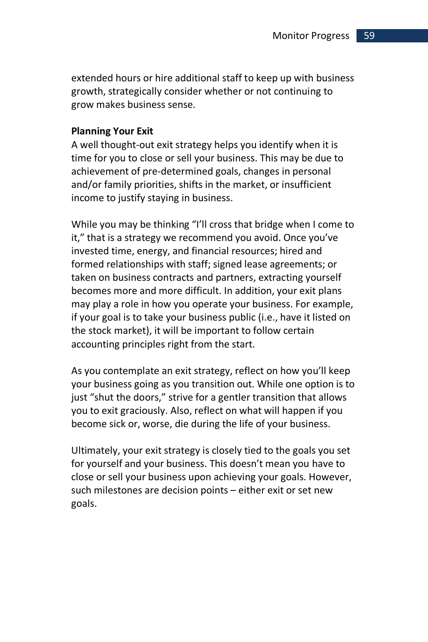extended hours or hire additional staff to keep up with business growth, strategically consider whether or not continuing to grow makes business sense.

#### **Planning Your Exit**

A well thought-out exit strategy helps you identify when it is time for you to close or sell your business. This may be due to achievement of pre-determined goals, changes in personal and/or family priorities, shifts in the market, or insufficient income to justify staying in business.

While you may be thinking "I'll cross that bridge when I come to it," that is a strategy we recommend you avoid. Once you've invested time, energy, and financial resources; hired and formed relationships with staff; signed lease agreements; or taken on business contracts and partners, extracting yourself becomes more and more difficult. In addition, your exit plans may play a role in how you operate your business. For example, if your goal is to take your business public (i.e., have it listed on the stock market), it will be important to follow certain accounting principles right from the start.

As you contemplate an exit strategy, reflect on how you'll keep your business going as you transition out. While one option is to just "shut the doors," strive for a gentler transition that allows you to exit graciously. Also, reflect on what will happen if you become sick or, worse, die during the life of your business.

Ultimately, your exit strategy is closely tied to the goals you set for yourself and your business. This doesn't mean you have to close or sell your business upon achieving your goals. However, such milestones are decision points – either exit or set new goals.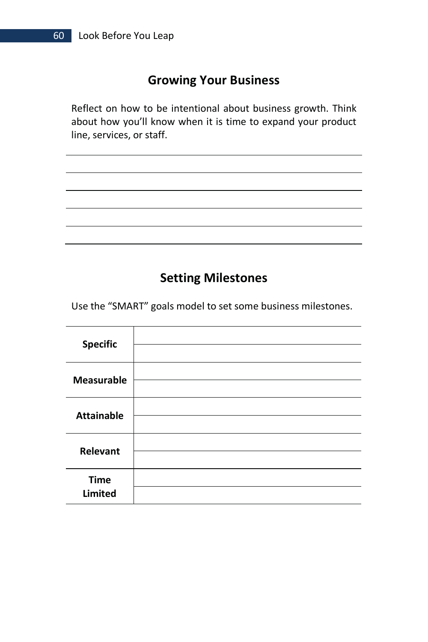### **Growing Your Business**

Reflect on how to be intentional about business growth. Think about how you'll know when it is time to expand your product line, services, or staff.

### **Setting Milestones**

Use the "SMART" goals model to set some business milestones.

| <b>Specific</b>               |  |
|-------------------------------|--|
| <b>Measurable</b>             |  |
| <b>Attainable</b>             |  |
| Relevant                      |  |
| <b>Time</b><br><b>Limited</b> |  |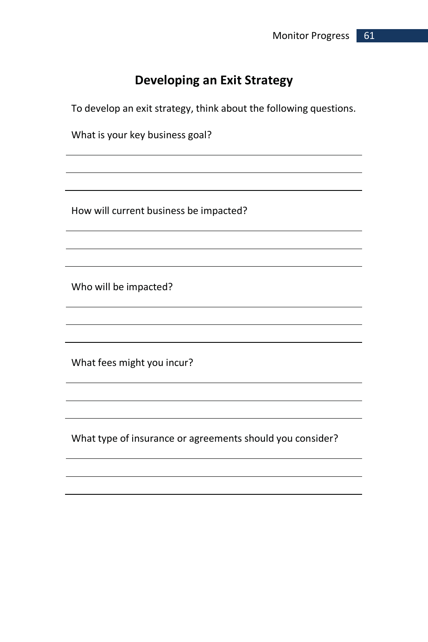### **Developing an Exit Strategy**

To develop an exit strategy, think about the following questions.

What is your key business goal?

How will current business be impacted?

Who will be impacted?

What fees might you incur?

What type of insurance or agreements should you consider?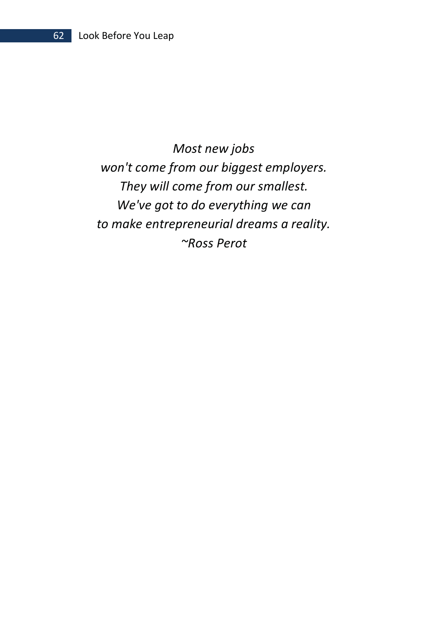*Most new jobs won't come from our biggest employers. They will come from our smallest. We've got to do everything we can to make entrepreneurial dreams a reality. ~Ross Perot*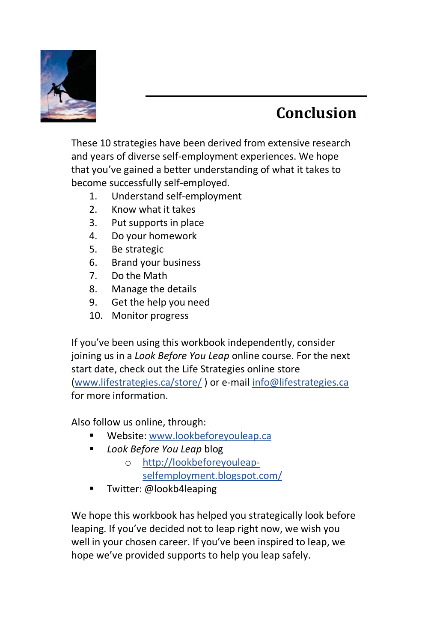

# **Conclusion**

These 10 strategies have been derived from extensive research and years of diverse self-employment experiences. We hope that you've gained a better understanding of what it takes to become successfully self-employed.

- 1. Understand self-employment
- 2. Know what it takes
- 3. Put supports in place
- 4. Do your homework
- 5. Be strategic
- 6. Brand your business
- 7. Do the Math
- 8. Manage the details
- 9. Get the help you need
- 10. Monitor progress

If you've been using this workbook independently, consider joining us in a *Look Before You Leap* online course. For the next start date, check out the Life Strategies online store (www.lifestrategies.ca/store/ ) or e-mail info@lifestrategies.ca for more information.

Also follow us online, through:

- Website: www.lookbeforeyouleap.ca
- *Look Before You Leap* blog
	- o http://lookbeforeyouleapselfemployment.blogspot.com/
- Twitter: @lookb4leaping

We hope this workbook has helped you strategically look before leaping. If you've decided not to leap right now, we wish you well in your chosen career. If you've been inspired to leap, we hope we've provided supports to help you leap safely.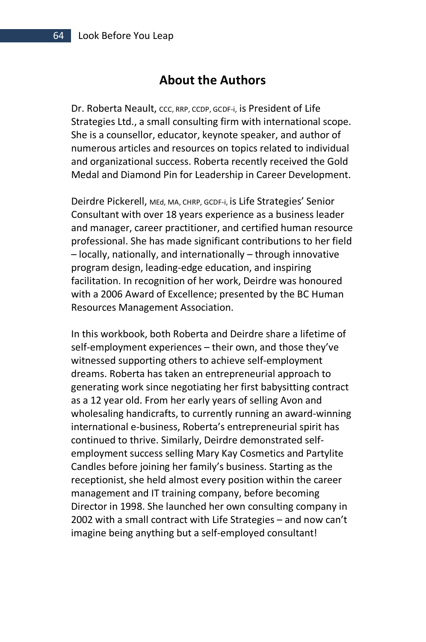#### **About the Authors**

Dr. Roberta Neault, CCC, RRP, CCDP, GCDF-i, is President of Life Strategies Ltd., a small consulting firm with international scope. She is a counsellor, educator, keynote speaker, and author of numerous articles and resources on topics related to individual and organizational success. Roberta recently received the Gold Medal and Diamond Pin for Leadership in Career Development.

Deirdre Pickerell, MEd, MA, CHRP, GCDF-i, is Life Strategies' Senior Consultant with over 18 years experience as a business leader and manager, career practitioner, and certified human resource professional. She has made significant contributions to her field – locally, nationally, and internationally – through innovative program design, leading-edge education, and inspiring facilitation. In recognition of her work, Deirdre was honoured with a 2006 Award of Excellence; presented by the BC Human Resources Management Association.

In this workbook, both Roberta and Deirdre share a lifetime of self-employment experiences – their own, and those they've witnessed supporting others to achieve self-employment dreams. Roberta has taken an entrepreneurial approach to generating work since negotiating her first babysitting contract as a 12 year old. From her early years of selling Avon and wholesaling handicrafts, to currently running an award-winning international e-business, Roberta's entrepreneurial spirit has continued to thrive. Similarly, Deirdre demonstrated selfemployment success selling Mary Kay Cosmetics and Partylite Candles before joining her family's business. Starting as the receptionist, she held almost every position within the career management and IT training company, before becoming Director in 1998. She launched her own consulting company in 2002 with a small contract with Life Strategies – and now can't imagine being anything but a self-employed consultant!